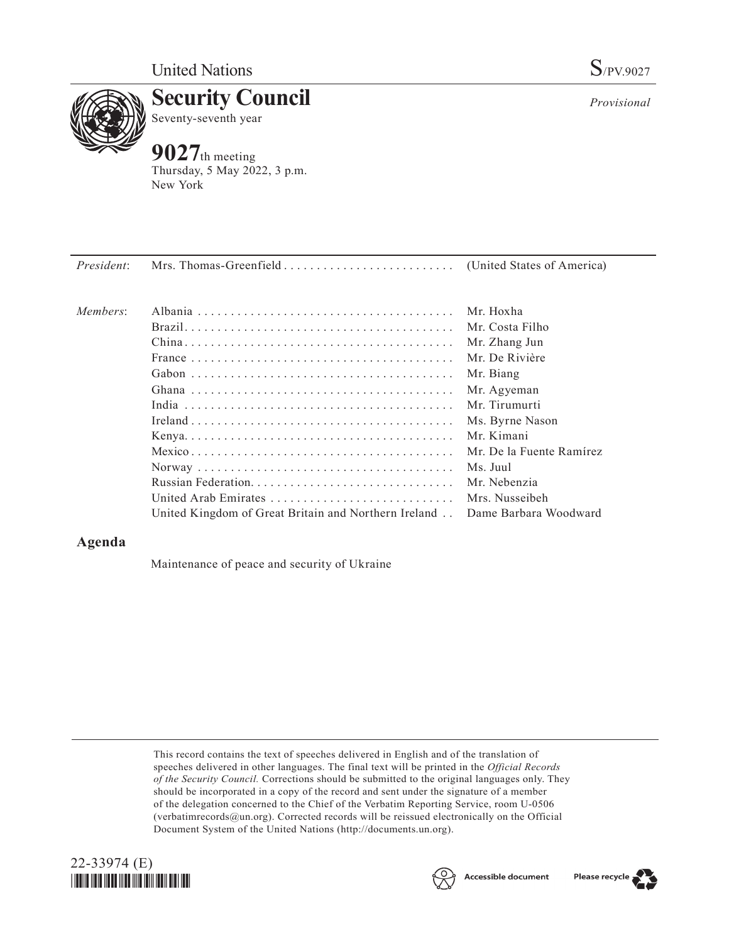

**Security Council** Seventy-seventh year

# **9027**th meeting

Thursday, 5 May 2022, 3 p.m. New York

| Members: | Albania                                                                      | Mr. Hoxha                |
|----------|------------------------------------------------------------------------------|--------------------------|
|          |                                                                              | Mr. Costa Filho          |
|          |                                                                              | Mr. Zhang Jun            |
|          |                                                                              | Mr. De Rivière           |
|          |                                                                              | Mr. Biang                |
|          |                                                                              | Mr. Agyeman              |
|          |                                                                              | Mr. Tirumurti            |
|          |                                                                              | Ms. Byrne Nason          |
|          |                                                                              | Mr. Kimani               |
|          |                                                                              | Mr. De la Fuente Ramírez |
|          |                                                                              | Ms. Juul                 |
|          |                                                                              | Mr. Nebenzia             |
|          | United Arab Emirates                                                         | Mrs. Nusseibeh           |
|          | United Kingdom of Great Britain and Northern Ireland . Dame Barbara Woodward |                          |

# **Agenda**

Maintenance of peace and security of Ukraine

This record contains the text of speeches delivered in English and of the translation of speeches delivered in other languages. The final text will be printed in the *Official Records of the Security Council.* Corrections should be submitted to the original languages only. They should be incorporated in a copy of the record and sent under the signature of a member of the delegation concerned to the Chief of the Verbatim Reporting Service, room U-0506 (verbatimrecords@un.org). Corrected records will be reissued electronically on the Official Document System of the United Nations (http://documents.un.org).







*Provisional*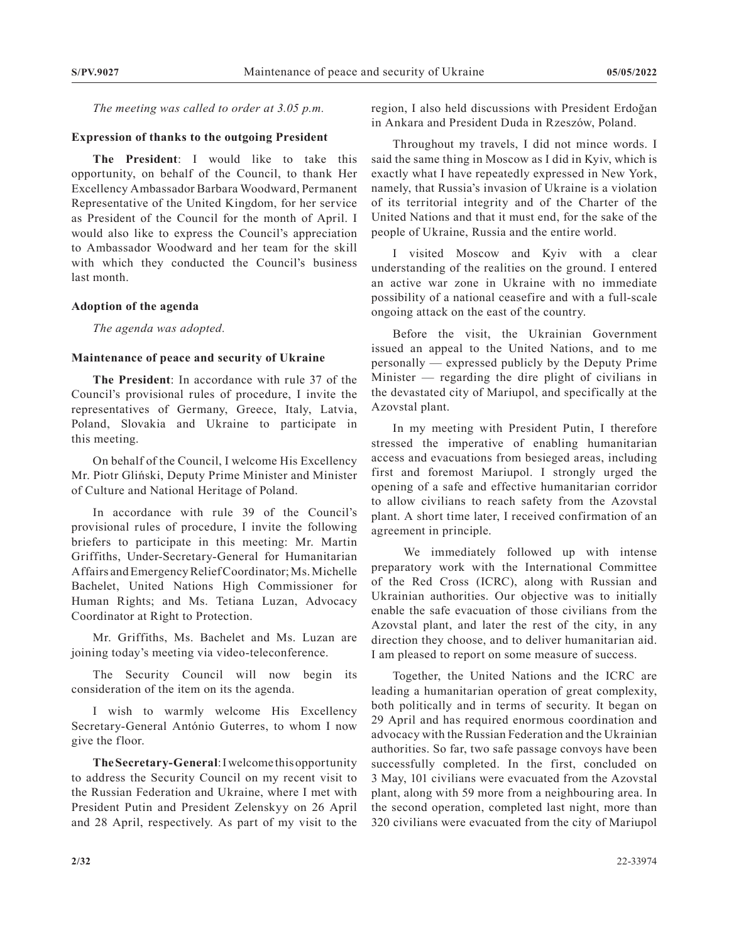*The meeting was called to order at 3.05 p.m.*

## **Expression of thanks to the outgoing President**

**The President**: I would like to take this opportunity, on behalf of the Council, to thank Her Excellency Ambassador Barbara Woodward, Permanent Representative of the United Kingdom, for her service as President of the Council for the month of April. I would also like to express the Council's appreciation to Ambassador Woodward and her team for the skill with which they conducted the Council's business last month.

### **Adoption of the agenda**

*The agenda was adopted.*

### **Maintenance of peace and security of Ukraine**

**The President**: In accordance with rule 37 of the Council's provisional rules of procedure, I invite the representatives of Germany, Greece, Italy, Latvia, Poland, Slovakia and Ukraine to participate in this meeting.

On behalf of the Council, I welcome His Excellency Mr. Piotr Gliński, Deputy Prime Minister and Minister of Culture and National Heritage of Poland.

In accordance with rule 39 of the Council's provisional rules of procedure, I invite the following briefers to participate in this meeting: Mr. Martin Griffiths, Under-Secretary-General for Humanitarian Affairs and Emergency Relief Coordinator; Ms. Michelle Bachelet, United Nations High Commissioner for Human Rights; and Ms. Tetiana Luzan, Advocacy Coordinator at Right to Protection.

Mr. Griffiths, Ms. Bachelet and Ms. Luzan are joining today's meeting via video-teleconference.

The Security Council will now begin its consideration of the item on its the agenda.

I wish to warmly welcome His Excellency Secretary-General António Guterres, to whom I now give the floor.

**The Secretary-General**: I welcome this opportunity to address the Security Council on my recent visit to the Russian Federation and Ukraine, where I met with President Putin and President Zelenskyy on 26 April and 28 April, respectively. As part of my visit to the

region, I also held discussions with President Erdoğan in Ankara and President Duda in Rzeszów, Poland.

Throughout my travels, I did not mince words. I said the same thing in Moscow as I did in Kyiv, which is exactly what I have repeatedly expressed in New York, namely, that Russia's invasion of Ukraine is a violation of its territorial integrity and of the Charter of the United Nations and that it must end, for the sake of the people of Ukraine, Russia and the entire world.

I visited Moscow and Kyiv with a clear understanding of the realities on the ground. I entered an active war zone in Ukraine with no immediate possibility of a national ceasefire and with a full-scale ongoing attack on the east of the country.

Before the visit, the Ukrainian Government issued an appeal to the United Nations, and to me personally — expressed publicly by the Deputy Prime Minister — regarding the dire plight of civilians in the devastated city of Mariupol, and specifically at the Azovstal plant.

In my meeting with President Putin, I therefore stressed the imperative of enabling humanitarian access and evacuations from besieged areas, including first and foremost Mariupol. I strongly urged the opening of a safe and effective humanitarian corridor to allow civilians to reach safety from the Azovstal plant. A short time later, I received confirmation of an agreement in principle.

 We immediately followed up with intense preparatory work with the International Committee of the Red Cross (ICRC), along with Russian and Ukrainian authorities. Our objective was to initially enable the safe evacuation of those civilians from the Azovstal plant, and later the rest of the city, in any direction they choose, and to deliver humanitarian aid. I am pleased to report on some measure of success.

Together, the United Nations and the ICRC are leading a humanitarian operation of great complexity, both politically and in terms of security. It began on 29 April and has required enormous coordination and advocacy with the Russian Federation and the Ukrainian authorities. So far, two safe passage convoys have been successfully completed. In the first, concluded on 3 May, 101 civilians were evacuated from the Azovstal plant, along with 59 more from a neighbouring area. In the second operation, completed last night, more than 320 civilians were evacuated from the city of Mariupol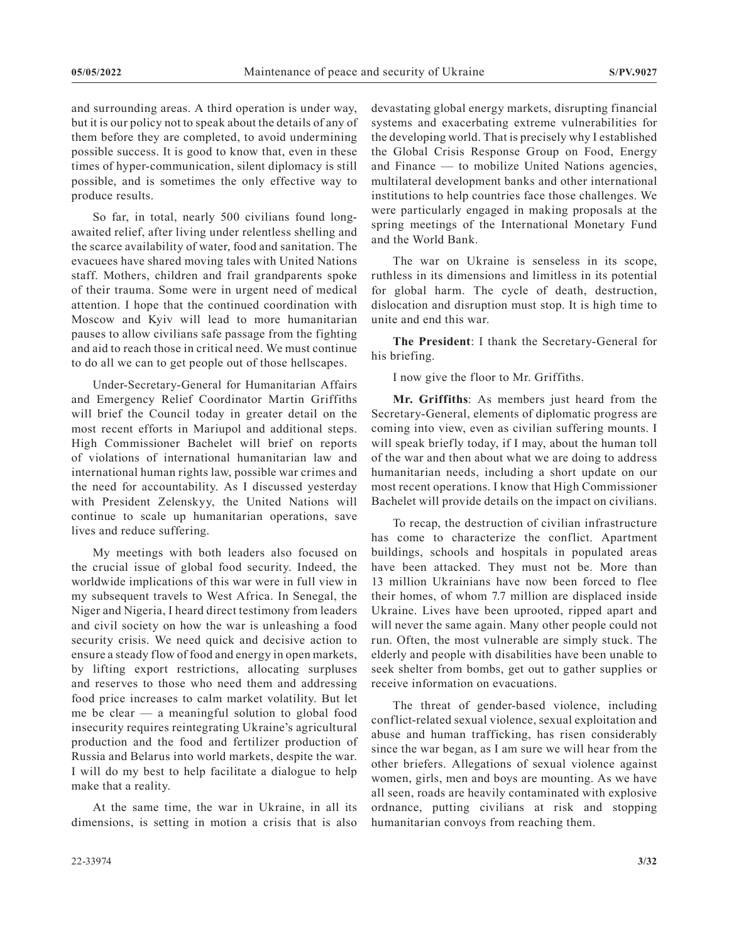and surrounding areas. A third operation is under way, but it is our policy not to speak about the details of any of them before they are completed, to avoid undermining possible success. It is good to know that, even in these times of hyper-communication, silent diplomacy is still possible, and is sometimes the only effective way to produce results.

So far, in total, nearly 500 civilians found longawaited relief, after living under relentless shelling and the scarce availability of water, food and sanitation. The evacuees have shared moving tales with United Nations staff. Mothers, children and frail grandparents spoke of their trauma. Some were in urgent need of medical attention. I hope that the continued coordination with Moscow and Kyiv will lead to more humanitarian pauses to allow civilians safe passage from the fighting and aid to reach those in critical need. We must continue to do all we can to get people out of those hellscapes.

Under-Secretary-General for Humanitarian Affairs and Emergency Relief Coordinator Martin Griffiths will brief the Council today in greater detail on the most recent efforts in Mariupol and additional steps. High Commissioner Bachelet will brief on reports of violations of international humanitarian law and international human rights law, possible war crimes and the need for accountability. As I discussed yesterday with President Zelenskyy, the United Nations will continue to scale up humanitarian operations, save lives and reduce suffering.

My meetings with both leaders also focused on the crucial issue of global food security. Indeed, the worldwide implications of this war were in full view in my subsequent travels to West Africa. In Senegal, the Niger and Nigeria, I heard direct testimony from leaders and civil society on how the war is unleashing a food security crisis. We need quick and decisive action to ensure a steady flow of food and energy in open markets, by lifting export restrictions, allocating surpluses and reserves to those who need them and addressing food price increases to calm market volatility. But let me be clear — a meaningful solution to global food insecurity requires reintegrating Ukraine's agricultural production and the food and fertilizer production of Russia and Belarus into world markets, despite the war. I will do my best to help facilitate a dialogue to help make that a reality.

At the same time, the war in Ukraine, in all its dimensions, is setting in motion a crisis that is also devastating global energy markets, disrupting financial systems and exacerbating extreme vulnerabilities for the developing world. That is precisely why I established the Global Crisis Response Group on Food, Energy and Finance — to mobilize United Nations agencies, multilateral development banks and other international institutions to help countries face those challenges. We were particularly engaged in making proposals at the spring meetings of the International Monetary Fund and the World Bank.

The war on Ukraine is senseless in its scope, ruthless in its dimensions and limitless in its potential for global harm. The cycle of death, destruction, dislocation and disruption must stop. It is high time to unite and end this war.

**The President**: I thank the Secretary-General for his briefing.

I now give the floor to Mr. Griffiths.

**Mr. Griffiths**: As members just heard from the Secretary-General, elements of diplomatic progress are coming into view, even as civilian suffering mounts. I will speak briefly today, if I may, about the human toll of the war and then about what we are doing to address humanitarian needs, including a short update on our most recent operations. I know that High Commissioner Bachelet will provide details on the impact on civilians.

To recap, the destruction of civilian infrastructure has come to characterize the conflict. Apartment buildings, schools and hospitals in populated areas have been attacked. They must not be. More than 13 million Ukrainians have now been forced to flee their homes, of whom 7.7 million are displaced inside Ukraine. Lives have been uprooted, ripped apart and will never the same again. Many other people could not run. Often, the most vulnerable are simply stuck. The elderly and people with disabilities have been unable to seek shelter from bombs, get out to gather supplies or receive information on evacuations.

The threat of gender-based violence, including conflict-related sexual violence, sexual exploitation and abuse and human trafficking, has risen considerably since the war began, as I am sure we will hear from the other briefers. Allegations of sexual violence against women, girls, men and boys are mounting. As we have all seen, roads are heavily contaminated with explosive ordnance, putting civilians at risk and stopping humanitarian convoys from reaching them.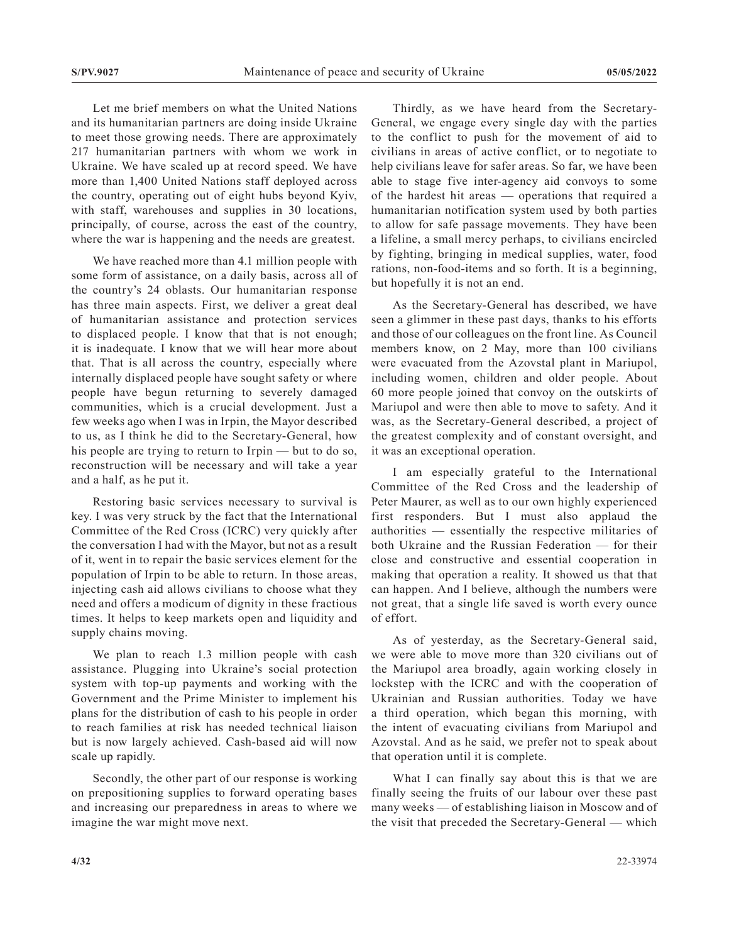Let me brief members on what the United Nations and its humanitarian partners are doing inside Ukraine to meet those growing needs. There are approximately 217 humanitarian partners with whom we work in Ukraine. We have scaled up at record speed. We have more than 1,400 United Nations staff deployed across the country, operating out of eight hubs beyond Kyiv, with staff, warehouses and supplies in 30 locations, principally, of course, across the east of the country, where the war is happening and the needs are greatest.

We have reached more than 4.1 million people with some form of assistance, on a daily basis, across all of the country's 24 oblasts. Our humanitarian response has three main aspects. First, we deliver a great deal of humanitarian assistance and protection services to displaced people. I know that that is not enough; it is inadequate. I know that we will hear more about that. That is all across the country, especially where internally displaced people have sought safety or where people have begun returning to severely damaged communities, which is a crucial development. Just a few weeks ago when I was in Irpin, the Mayor described to us, as I think he did to the Secretary-General, how his people are trying to return to Irpin — but to do so, reconstruction will be necessary and will take a year and a half, as he put it.

Restoring basic services necessary to survival is key. I was very struck by the fact that the International Committee of the Red Cross (ICRC) very quickly after the conversation I had with the Mayor, but not as a result of it, went in to repair the basic services element for the population of Irpin to be able to return. In those areas, injecting cash aid allows civilians to choose what they need and offers a modicum of dignity in these fractious times. It helps to keep markets open and liquidity and supply chains moving.

We plan to reach 1.3 million people with cash assistance. Plugging into Ukraine's social protection system with top-up payments and working with the Government and the Prime Minister to implement his plans for the distribution of cash to his people in order to reach families at risk has needed technical liaison but is now largely achieved. Cash-based aid will now scale up rapidly.

Secondly, the other part of our response is working on prepositioning supplies to forward operating bases and increasing our preparedness in areas to where we imagine the war might move next.

Thirdly, as we have heard from the Secretary-General, we engage every single day with the parties to the conflict to push for the movement of aid to civilians in areas of active conflict, or to negotiate to help civilians leave for safer areas. So far, we have been able to stage five inter-agency aid convoys to some of the hardest hit areas — operations that required a humanitarian notification system used by both parties to allow for safe passage movements. They have been a lifeline, a small mercy perhaps, to civilians encircled by fighting, bringing in medical supplies, water, food rations, non-food-items and so forth. It is a beginning, but hopefully it is not an end.

As the Secretary-General has described, we have seen a glimmer in these past days, thanks to his efforts and those of our colleagues on the front line. As Council members know, on 2 May, more than 100 civilians were evacuated from the Azovstal plant in Mariupol, including women, children and older people. About 60 more people joined that convoy on the outskirts of Mariupol and were then able to move to safety. And it was, as the Secretary-General described, a project of the greatest complexity and of constant oversight, and it was an exceptional operation.

I am especially grateful to the International Committee of the Red Cross and the leadership of Peter Maurer, as well as to our own highly experienced first responders. But I must also applaud the authorities — essentially the respective militaries of both Ukraine and the Russian Federation — for their close and constructive and essential cooperation in making that operation a reality. It showed us that that can happen. And I believe, although the numbers were not great, that a single life saved is worth every ounce of effort.

As of yesterday, as the Secretary-General said, we were able to move more than 320 civilians out of the Mariupol area broadly, again working closely in lockstep with the ICRC and with the cooperation of Ukrainian and Russian authorities. Today we have a third operation, which began this morning, with the intent of evacuating civilians from Mariupol and Azovstal. And as he said, we prefer not to speak about that operation until it is complete.

What I can finally say about this is that we are finally seeing the fruits of our labour over these past many weeks — of establishing liaison in Moscow and of the visit that preceded the Secretary-General — which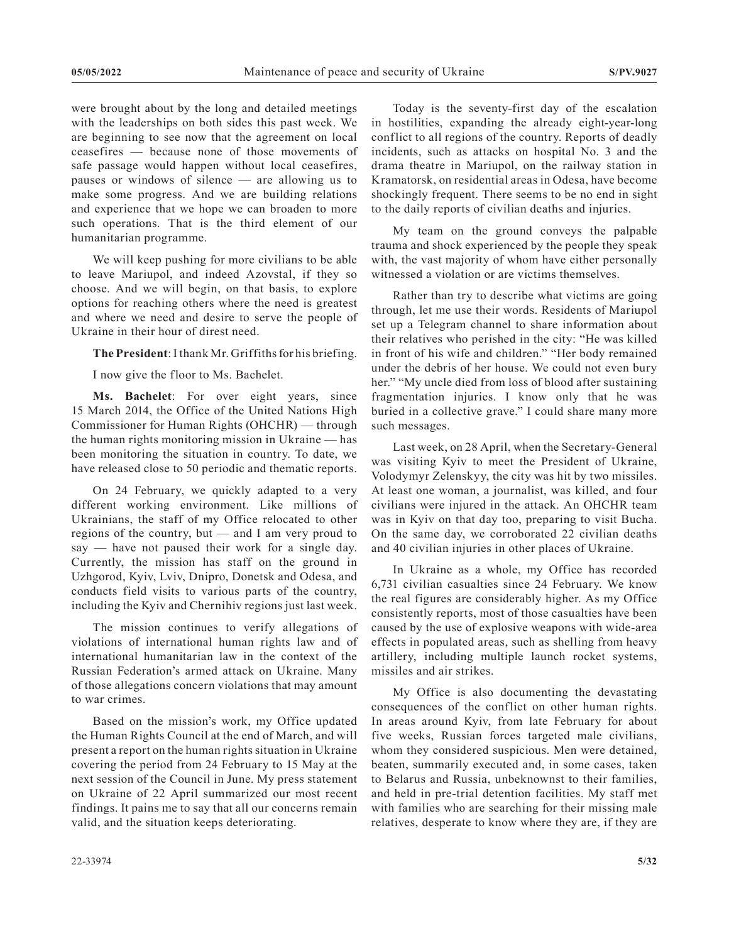were brought about by the long and detailed meetings with the leaderships on both sides this past week. We are beginning to see now that the agreement on local ceasefires — because none of those movements of safe passage would happen without local ceasefires, pauses or windows of silence — are allowing us to make some progress. And we are building relations and experience that we hope we can broaden to more such operations. That is the third element of our humanitarian programme.

We will keep pushing for more civilians to be able to leave Mariupol, and indeed Azovstal, if they so choose. And we will begin, on that basis, to explore options for reaching others where the need is greatest and where we need and desire to serve the people of Ukraine in their hour of direst need.

**The President**: I thank Mr. Griffiths for his briefing.

I now give the floor to Ms. Bachelet.

**Ms. Bachelet**: For over eight years, since 15 March 2014, the Office of the United Nations High Commissioner for Human Rights (OHCHR) — through the human rights monitoring mission in Ukraine — has been monitoring the situation in country. To date, we have released close to 50 periodic and thematic reports.

On 24 February, we quickly adapted to a very different working environment. Like millions of Ukrainians, the staff of my Office relocated to other regions of the country, but — and I am very proud to say — have not paused their work for a single day. Currently, the mission has staff on the ground in Uzhgorod, Kyiv, Lviv, Dnipro, Donetsk and Odesa, and conducts field visits to various parts of the country, including the Kyiv and Chernihiv regions just last week.

The mission continues to verify allegations of violations of international human rights law and of international humanitarian law in the context of the Russian Federation's armed attack on Ukraine. Many of those allegations concern violations that may amount to war crimes.

Based on the mission's work, my Office updated the Human Rights Council at the end of March, and will present a report on the human rights situation in Ukraine covering the period from 24 February to 15 May at the next session of the Council in June. My press statement on Ukraine of 22 April summarized our most recent findings. It pains me to say that all our concerns remain valid, and the situation keeps deteriorating.

Today is the seventy-first day of the escalation in hostilities, expanding the already eight-year-long conflict to all regions of the country. Reports of deadly incidents, such as attacks on hospital No. 3 and the drama theatre in Mariupol, on the railway station in Kramatorsk, on residential areas in Odesa, have become shockingly frequent. There seems to be no end in sight to the daily reports of civilian deaths and injuries.

My team on the ground conveys the palpable trauma and shock experienced by the people they speak with, the vast majority of whom have either personally witnessed a violation or are victims themselves.

Rather than try to describe what victims are going through, let me use their words. Residents of Mariupol set up a Telegram channel to share information about their relatives who perished in the city: "He was killed in front of his wife and children." "Her body remained under the debris of her house. We could not even bury her." "My uncle died from loss of blood after sustaining fragmentation injuries. I know only that he was buried in a collective grave." I could share many more such messages.

Last week, on 28 April, when the Secretary-General was visiting Kyiv to meet the President of Ukraine, Volodymyr Zelenskyy, the city was hit by two missiles. At least one woman, a journalist, was killed, and four civilians were injured in the attack. An OHCHR team was in Kyiv on that day too, preparing to visit Bucha. On the same day, we corroborated 22 civilian deaths and 40 civilian injuries in other places of Ukraine.

In Ukraine as a whole, my Office has recorded 6,731 civilian casualties since 24 February. We know the real figures are considerably higher. As my Office consistently reports, most of those casualties have been caused by the use of explosive weapons with wide-area effects in populated areas, such as shelling from heavy artillery, including multiple launch rocket systems, missiles and air strikes.

My Office is also documenting the devastating consequences of the conflict on other human rights. In areas around Kyiv, from late February for about five weeks, Russian forces targeted male civilians, whom they considered suspicious. Men were detained, beaten, summarily executed and, in some cases, taken to Belarus and Russia, unbeknownst to their families, and held in pre-trial detention facilities. My staff met with families who are searching for their missing male relatives, desperate to know where they are, if they are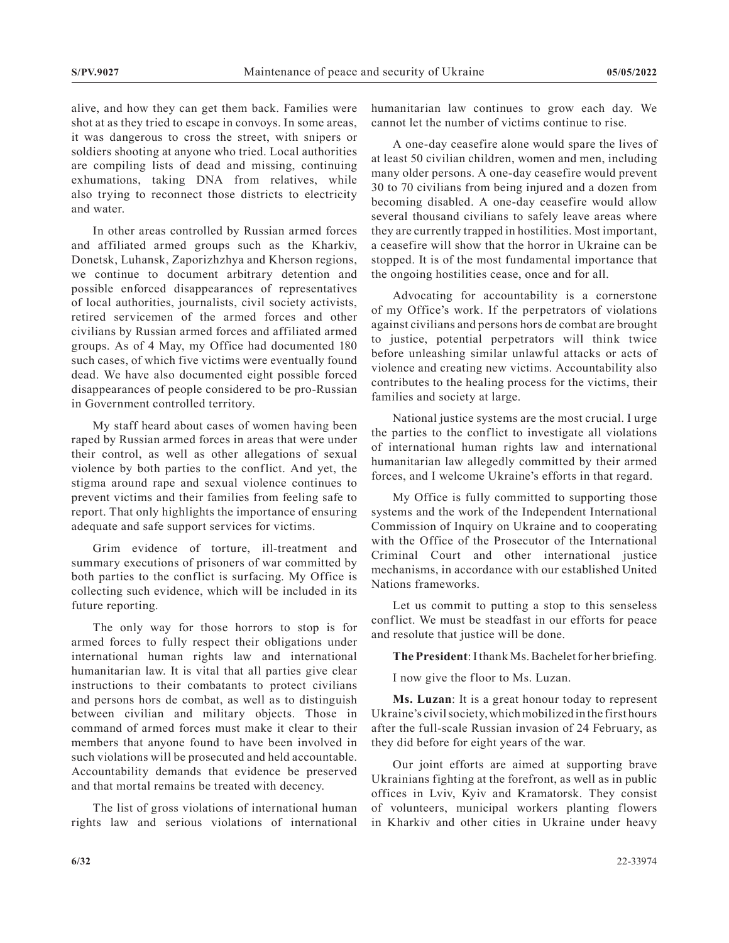alive, and how they can get them back. Families were shot at as they tried to escape in convoys. In some areas, it was dangerous to cross the street, with snipers or soldiers shooting at anyone who tried. Local authorities are compiling lists of dead and missing, continuing exhumations, taking DNA from relatives, while also trying to reconnect those districts to electricity and water.

In other areas controlled by Russian armed forces and affiliated armed groups such as the Kharkiv, Donetsk, Luhansk, Zaporizhzhya and Kherson regions, we continue to document arbitrary detention and possible enforced disappearances of representatives of local authorities, journalists, civil society activists, retired servicemen of the armed forces and other civilians by Russian armed forces and affiliated armed groups. As of 4 May, my Office had documented 180 such cases, of which five victims were eventually found dead. We have also documented eight possible forced disappearances of people considered to be pro-Russian in Government controlled territory.

My staff heard about cases of women having been raped by Russian armed forces in areas that were under their control, as well as other allegations of sexual violence by both parties to the conflict. And yet, the stigma around rape and sexual violence continues to prevent victims and their families from feeling safe to report. That only highlights the importance of ensuring adequate and safe support services for victims.

Grim evidence of torture, ill-treatment and summary executions of prisoners of war committed by both parties to the conflict is surfacing. My Office is collecting such evidence, which will be included in its future reporting.

The only way for those horrors to stop is for armed forces to fully respect their obligations under international human rights law and international humanitarian law. It is vital that all parties give clear instructions to their combatants to protect civilians and persons hors de combat, as well as to distinguish between civilian and military objects. Those in command of armed forces must make it clear to their members that anyone found to have been involved in such violations will be prosecuted and held accountable. Accountability demands that evidence be preserved and that mortal remains be treated with decency.

The list of gross violations of international human rights law and serious violations of international humanitarian law continues to grow each day. We cannot let the number of victims continue to rise.

A one-day ceasefire alone would spare the lives of at least 50 civilian children, women and men, including many older persons. A one-day ceasefire would prevent 30 to 70 civilians from being injured and a dozen from becoming disabled. A one-day ceasefire would allow several thousand civilians to safely leave areas where they are currently trapped in hostilities. Most important, a ceasefire will show that the horror in Ukraine can be stopped. It is of the most fundamental importance that the ongoing hostilities cease, once and for all.

Advocating for accountability is a cornerstone of my Office's work. If the perpetrators of violations against civilians and persons hors de combat are brought to justice, potential perpetrators will think twice before unleashing similar unlawful attacks or acts of violence and creating new victims. Accountability also contributes to the healing process for the victims, their families and society at large.

National justice systems are the most crucial. I urge the parties to the conflict to investigate all violations of international human rights law and international humanitarian law allegedly committed by their armed forces, and I welcome Ukraine's efforts in that regard.

My Office is fully committed to supporting those systems and the work of the Independent International Commission of Inquiry on Ukraine and to cooperating with the Office of the Prosecutor of the International Criminal Court and other international justice mechanisms, in accordance with our established United Nations frameworks.

Let us commit to putting a stop to this senseless conflict. We must be steadfast in our efforts for peace and resolute that justice will be done.

**The President**: I thank Ms. Bachelet for her briefing.

I now give the floor to Ms. Luzan.

**Ms. Luzan**: It is a great honour today to represent Ukraine's civil society, which mobilized in the first hours after the full-scale Russian invasion of 24 February, as they did before for eight years of the war.

Our joint efforts are aimed at supporting brave Ukrainians fighting at the forefront, as well as in public offices in Lviv, Kyiv and Kramatorsk. They consist of volunteers, municipal workers planting flowers in Kharkiv and other cities in Ukraine under heavy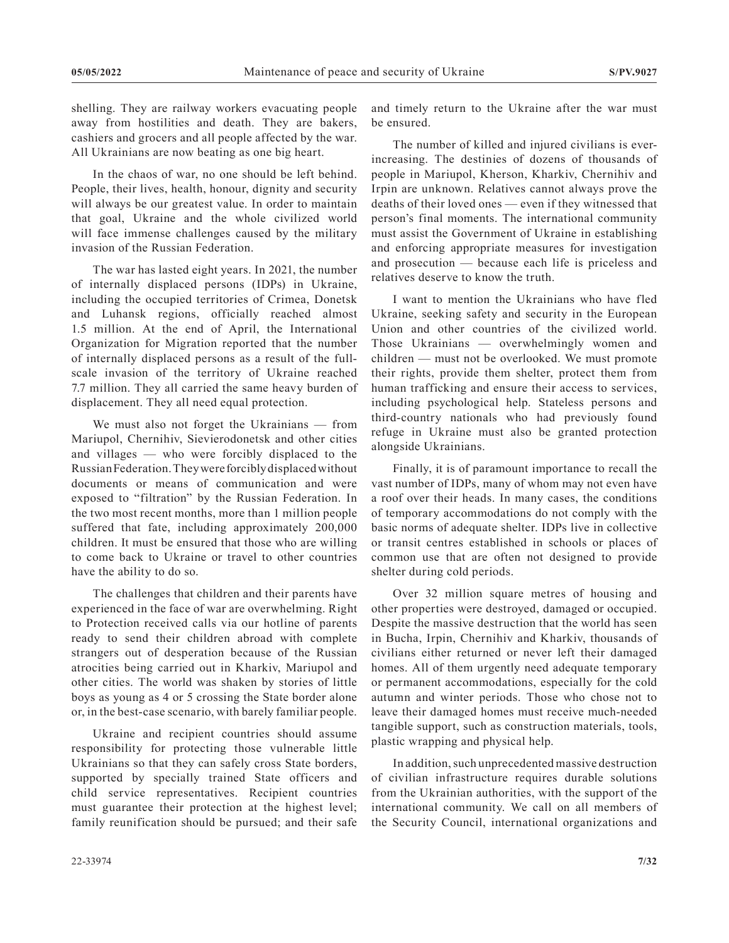shelling. They are railway workers evacuating people away from hostilities and death. They are bakers, cashiers and grocers and all people affected by the war. All Ukrainians are now beating as one big heart.

In the chaos of war, no one should be left behind. People, their lives, health, honour, dignity and security will always be our greatest value. In order to maintain that goal, Ukraine and the whole civilized world will face immense challenges caused by the military invasion of the Russian Federation.

The war has lasted eight years. In 2021, the number of internally displaced persons (IDPs) in Ukraine, including the occupied territories of Crimea, Donetsk and Luhansk regions, officially reached almost 1.5 million. At the end of April, the International Organization for Migration reported that the number of internally displaced persons as a result of the fullscale invasion of the territory of Ukraine reached 7.7 million. They all carried the same heavy burden of displacement. They all need equal protection.

We must also not forget the Ukrainians — from Mariupol, Chernihiv, Sievierodonetsk and other cities and villages — who were forcibly displaced to the Russian Federation. They were forcibly displaced without documents or means of communication and were exposed to "filtration" by the Russian Federation. In the two most recent months, more than 1 million people suffered that fate, including approximately 200,000 children. It must be ensured that those who are willing to come back to Ukraine or travel to other countries have the ability to do so.

The challenges that children and their parents have experienced in the face of war are overwhelming. Right to Protection received calls via our hotline of parents ready to send their children abroad with complete strangers out of desperation because of the Russian atrocities being carried out in Kharkiv, Mariupol and other cities. The world was shaken by stories of little boys as young as 4 or 5 crossing the State border alone or, in the best-case scenario, with barely familiar people.

Ukraine and recipient countries should assume responsibility for protecting those vulnerable little Ukrainians so that they can safely cross State borders, supported by specially trained State officers and child service representatives. Recipient countries must guarantee their protection at the highest level; family reunification should be pursued; and their safe

and timely return to the Ukraine after the war must be ensured.

The number of killed and injured civilians is everincreasing. The destinies of dozens of thousands of people in Mariupol, Kherson, Kharkiv, Chernihiv and Irpin are unknown. Relatives cannot always prove the deaths of their loved ones — even if they witnessed that person's final moments. The international community must assist the Government of Ukraine in establishing and enforcing appropriate measures for investigation and prosecution — because each life is priceless and relatives deserve to know the truth.

I want to mention the Ukrainians who have fled Ukraine, seeking safety and security in the European Union and other countries of the civilized world. Those Ukrainians — overwhelmingly women and children — must not be overlooked. We must promote their rights, provide them shelter, protect them from human trafficking and ensure their access to services, including psychological help. Stateless persons and third-country nationals who had previously found refuge in Ukraine must also be granted protection alongside Ukrainians.

Finally, it is of paramount importance to recall the vast number of IDPs, many of whom may not even have a roof over their heads. In many cases, the conditions of temporary accommodations do not comply with the basic norms of adequate shelter. IDPs live in collective or transit centres established in schools or places of common use that are often not designed to provide shelter during cold periods.

Over 32 million square metres of housing and other properties were destroyed, damaged or occupied. Despite the massive destruction that the world has seen in Bucha, Irpin, Chernihiv and Kharkiv, thousands of civilians either returned or never left their damaged homes. All of them urgently need adequate temporary or permanent accommodations, especially for the cold autumn and winter periods. Those who chose not to leave their damaged homes must receive much-needed tangible support, such as construction materials, tools, plastic wrapping and physical help.

In addition, such unprecedented massive destruction of civilian infrastructure requires durable solutions from the Ukrainian authorities, with the support of the international community. We call on all members of the Security Council, international organizations and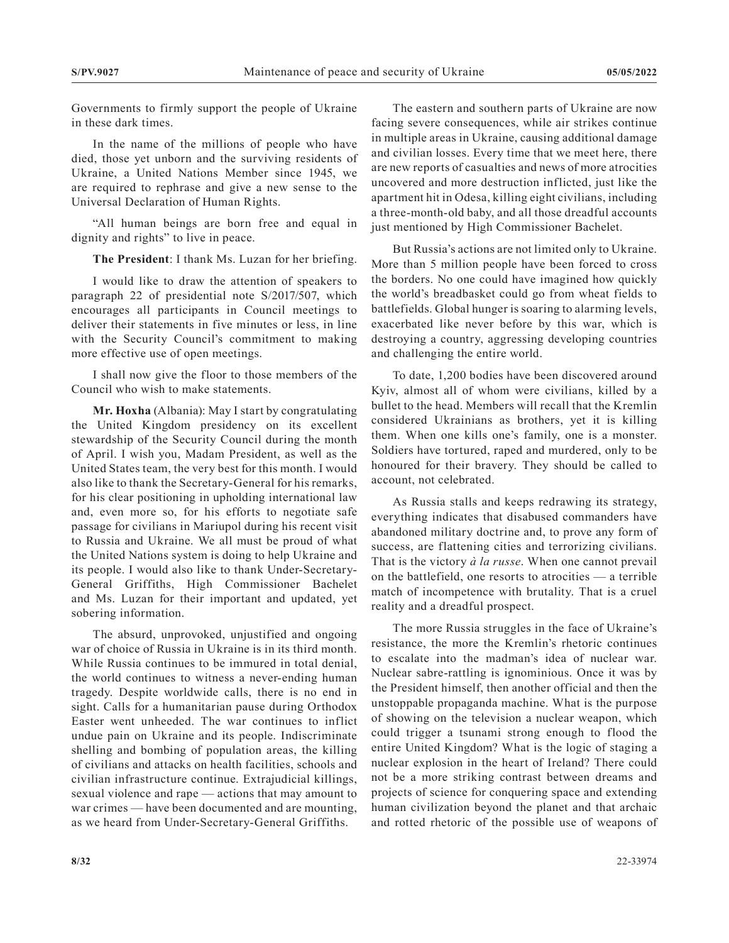Governments to firmly support the people of Ukraine in these dark times.

In the name of the millions of people who have died, those yet unborn and the surviving residents of Ukraine, a United Nations Member since 1945, we are required to rephrase and give a new sense to the Universal Declaration of Human Rights.

"All human beings are born free and equal in dignity and rights" to live in peace.

**The President**: I thank Ms. Luzan for her briefing.

I would like to draw the attention of speakers to paragraph 22 of presidential note S/2017/507, which encourages all participants in Council meetings to deliver their statements in five minutes or less, in line with the Security Council's commitment to making more effective use of open meetings.

I shall now give the floor to those members of the Council who wish to make statements.

**Mr. Hoxha** (Albania): May I start by congratulating the United Kingdom presidency on its excellent stewardship of the Security Council during the month of April. I wish you, Madam President, as well as the United States team, the very best for this month. I would also like to thank the Secretary-General for his remarks, for his clear positioning in upholding international law and, even more so, for his efforts to negotiate safe passage for civilians in Mariupol during his recent visit to Russia and Ukraine. We all must be proud of what the United Nations system is doing to help Ukraine and its people. I would also like to thank Under-Secretary-General Griffiths, High Commissioner Bachelet and Ms. Luzan for their important and updated, yet sobering information.

The absurd, unprovoked, unjustified and ongoing war of choice of Russia in Ukraine is in its third month. While Russia continues to be immured in total denial, the world continues to witness a never-ending human tragedy. Despite worldwide calls, there is no end in sight. Calls for a humanitarian pause during Orthodox Easter went unheeded. The war continues to inflict undue pain on Ukraine and its people. Indiscriminate shelling and bombing of population areas, the killing of civilians and attacks on health facilities, schools and civilian infrastructure continue. Extrajudicial killings, sexual violence and rape — actions that may amount to war crimes — have been documented and are mounting, as we heard from Under-Secretary-General Griffiths.

The eastern and southern parts of Ukraine are now facing severe consequences, while air strikes continue in multiple areas in Ukraine, causing additional damage and civilian losses. Every time that we meet here, there are new reports of casualties and news of more atrocities uncovered and more destruction inflicted, just like the apartment hit in Odesa, killing eight civilians, including a three-month-old baby, and all those dreadful accounts just mentioned by High Commissioner Bachelet.

But Russia's actions are not limited only to Ukraine. More than 5 million people have been forced to cross the borders. No one could have imagined how quickly the world's breadbasket could go from wheat fields to battlefields. Global hunger is soaring to alarming levels, exacerbated like never before by this war, which is destroying a country, aggressing developing countries and challenging the entire world.

To date, 1,200 bodies have been discovered around Kyiv, almost all of whom were civilians, killed by a bullet to the head. Members will recall that the Kremlin considered Ukrainians as brothers, yet it is killing them. When one kills one's family, one is a monster. Soldiers have tortured, raped and murdered, only to be honoured for their bravery. They should be called to account, not celebrated.

As Russia stalls and keeps redrawing its strategy, everything indicates that disabused commanders have abandoned military doctrine and, to prove any form of success, are flattening cities and terrorizing civilians. That is the victory *à la russe*. When one cannot prevail on the battlefield, one resorts to atrocities — a terrible match of incompetence with brutality. That is a cruel reality and a dreadful prospect.

The more Russia struggles in the face of Ukraine's resistance, the more the Kremlin's rhetoric continues to escalate into the madman's idea of nuclear war. Nuclear sabre-rattling is ignominious. Once it was by the President himself, then another official and then the unstoppable propaganda machine. What is the purpose of showing on the television a nuclear weapon, which could trigger a tsunami strong enough to flood the entire United Kingdom? What is the logic of staging a nuclear explosion in the heart of Ireland? There could not be a more striking contrast between dreams and projects of science for conquering space and extending human civilization beyond the planet and that archaic and rotted rhetoric of the possible use of weapons of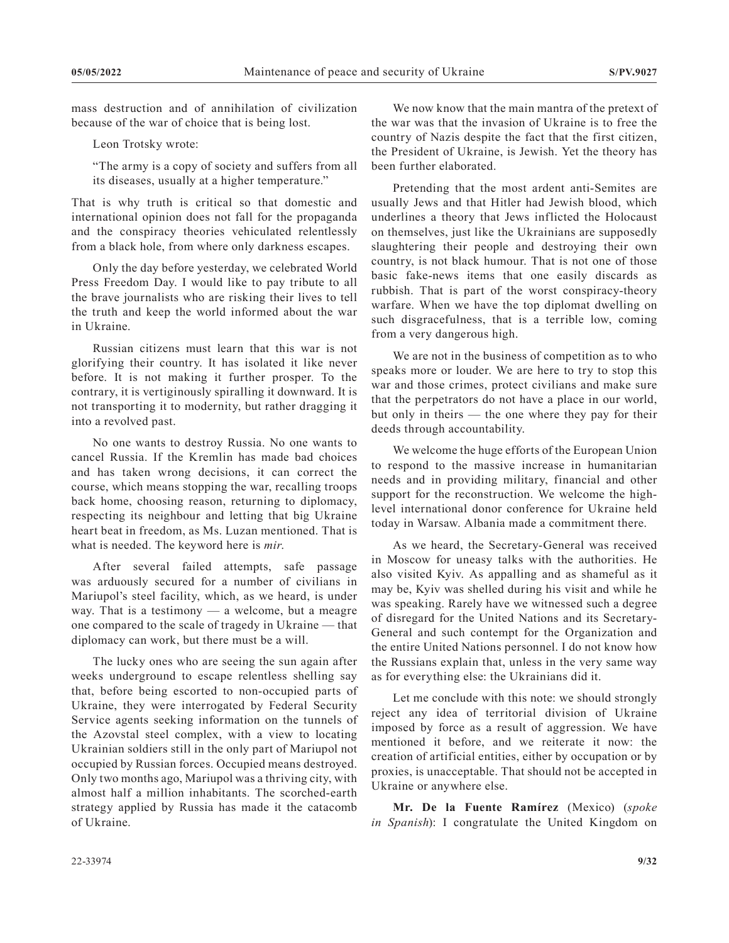mass destruction and of annihilation of civilization because of the war of choice that is being lost.

Leon Trotsky wrote:

"The army is a copy of society and suffers from all its diseases, usually at a higher temperature."

That is why truth is critical so that domestic and international opinion does not fall for the propaganda and the conspiracy theories vehiculated relentlessly from a black hole, from where only darkness escapes.

Only the day before yesterday, we celebrated World Press Freedom Day. I would like to pay tribute to all the brave journalists who are risking their lives to tell the truth and keep the world informed about the war in Ukraine.

Russian citizens must learn that this war is not glorifying their country. It has isolated it like never before. It is not making it further prosper. To the contrary, it is vertiginously spiralling it downward. It is not transporting it to modernity, but rather dragging it into a revolved past.

No one wants to destroy Russia. No one wants to cancel Russia. If the Kremlin has made bad choices and has taken wrong decisions, it can correct the course, which means stopping the war, recalling troops back home, choosing reason, returning to diplomacy, respecting its neighbour and letting that big Ukraine heart beat in freedom, as Ms. Luzan mentioned. That is what is needed. The keyword here is *mir*.

After several failed attempts, safe passage was arduously secured for a number of civilians in Mariupol's steel facility, which, as we heard, is under way. That is a testimony — a welcome, but a meagre one compared to the scale of tragedy in Ukraine — that diplomacy can work, but there must be a will.

The lucky ones who are seeing the sun again after weeks underground to escape relentless shelling say that, before being escorted to non-occupied parts of Ukraine, they were interrogated by Federal Security Service agents seeking information on the tunnels of the Azovstal steel complex, with a view to locating Ukrainian soldiers still in the only part of Mariupol not occupied by Russian forces. Occupied means destroyed. Only two months ago, Mariupol was a thriving city, with almost half a million inhabitants. The scorched-earth strategy applied by Russia has made it the catacomb of Ukraine.

We now know that the main mantra of the pretext of the war was that the invasion of Ukraine is to free the country of Nazis despite the fact that the first citizen, the President of Ukraine, is Jewish. Yet the theory has been further elaborated.

Pretending that the most ardent anti-Semites are usually Jews and that Hitler had Jewish blood, which underlines a theory that Jews inflicted the Holocaust on themselves, just like the Ukrainians are supposedly slaughtering their people and destroying their own country, is not black humour. That is not one of those basic fake-news items that one easily discards as rubbish. That is part of the worst conspiracy-theory warfare. When we have the top diplomat dwelling on such disgracefulness, that is a terrible low, coming from a very dangerous high.

We are not in the business of competition as to who speaks more or louder. We are here to try to stop this war and those crimes, protect civilians and make sure that the perpetrators do not have a place in our world, but only in theirs — the one where they pay for their deeds through accountability.

We welcome the huge efforts of the European Union to respond to the massive increase in humanitarian needs and in providing military, financial and other support for the reconstruction. We welcome the highlevel international donor conference for Ukraine held today in Warsaw. Albania made a commitment there.

As we heard, the Secretary-General was received in Moscow for uneasy talks with the authorities. He also visited Kyiv. As appalling and as shameful as it may be, Kyiv was shelled during his visit and while he was speaking. Rarely have we witnessed such a degree of disregard for the United Nations and its Secretary-General and such contempt for the Organization and the entire United Nations personnel. I do not know how the Russians explain that, unless in the very same way as for everything else: the Ukrainians did it.

Let me conclude with this note: we should strongly reject any idea of territorial division of Ukraine imposed by force as a result of aggression. We have mentioned it before, and we reiterate it now: the creation of artificial entities, either by occupation or by proxies, is unacceptable. That should not be accepted in Ukraine or anywhere else.

**Mr. De la Fuente Ramírez** (Mexico) (*spoke in Spanish*): I congratulate the United Kingdom on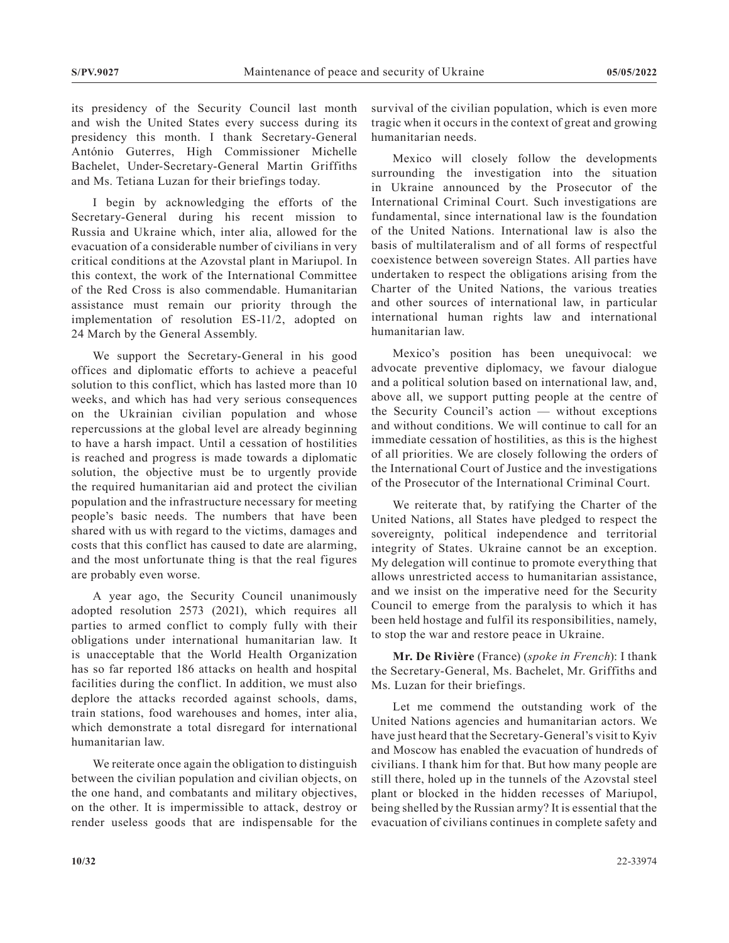its presidency of the Security Council last month and wish the United States every success during its presidency this month. I thank Secretary-General António Guterres, High Commissioner Michelle Bachelet, Under-Secretary-General Martin Griffiths and Ms. Tetiana Luzan for their briefings today.

I begin by acknowledging the efforts of the Secretary-General during his recent mission to Russia and Ukraine which, inter alia, allowed for the evacuation of a considerable number of civilians in very critical conditions at the Azovstal plant in Mariupol. In this context, the work of the International Committee of the Red Cross is also commendable. Humanitarian assistance must remain our priority through the implementation of resolution ES-11/2, adopted on 24 March by the General Assembly.

We support the Secretary-General in his good offices and diplomatic efforts to achieve a peaceful solution to this conflict, which has lasted more than 10 weeks, and which has had very serious consequences on the Ukrainian civilian population and whose repercussions at the global level are already beginning to have a harsh impact. Until a cessation of hostilities is reached and progress is made towards a diplomatic solution, the objective must be to urgently provide the required humanitarian aid and protect the civilian population and the infrastructure necessary for meeting people's basic needs. The numbers that have been shared with us with regard to the victims, damages and costs that this conflict has caused to date are alarming, and the most unfortunate thing is that the real figures are probably even worse.

A year ago, the Security Council unanimously adopted resolution 2573 (2021), which requires all parties to armed conflict to comply fully with their obligations under international humanitarian law. It is unacceptable that the World Health Organization has so far reported 186 attacks on health and hospital facilities during the conflict. In addition, we must also deplore the attacks recorded against schools, dams, train stations, food warehouses and homes, inter alia, which demonstrate a total disregard for international humanitarian law.

We reiterate once again the obligation to distinguish between the civilian population and civilian objects, on the one hand, and combatants and military objectives, on the other. It is impermissible to attack, destroy or render useless goods that are indispensable for the survival of the civilian population, which is even more tragic when it occurs in the context of great and growing humanitarian needs.

Mexico will closely follow the developments surrounding the investigation into the situation in Ukraine announced by the Prosecutor of the International Criminal Court. Such investigations are fundamental, since international law is the foundation of the United Nations. International law is also the basis of multilateralism and of all forms of respectful coexistence between sovereign States. All parties have undertaken to respect the obligations arising from the Charter of the United Nations, the various treaties and other sources of international law, in particular international human rights law and international humanitarian law.

Mexico's position has been unequivocal: we advocate preventive diplomacy, we favour dialogue and a political solution based on international law, and, above all, we support putting people at the centre of the Security Council's action — without exceptions and without conditions. We will continue to call for an immediate cessation of hostilities, as this is the highest of all priorities. We are closely following the orders of the International Court of Justice and the investigations of the Prosecutor of the International Criminal Court.

We reiterate that, by ratifying the Charter of the United Nations, all States have pledged to respect the sovereignty, political independence and territorial integrity of States. Ukraine cannot be an exception. My delegation will continue to promote everything that allows unrestricted access to humanitarian assistance, and we insist on the imperative need for the Security Council to emerge from the paralysis to which it has been held hostage and fulfil its responsibilities, namely, to stop the war and restore peace in Ukraine.

**Mr. De Rivière** (France) (*spoke in French*): I thank the Secretary-General, Ms. Bachelet, Mr. Griffiths and Ms. Luzan for their briefings.

Let me commend the outstanding work of the United Nations agencies and humanitarian actors. We have just heard that the Secretary-General's visit to Kyiv and Moscow has enabled the evacuation of hundreds of civilians. I thank him for that. But how many people are still there, holed up in the tunnels of the Azovstal steel plant or blocked in the hidden recesses of Mariupol, being shelled by the Russian army? It is essential that the evacuation of civilians continues in complete safety and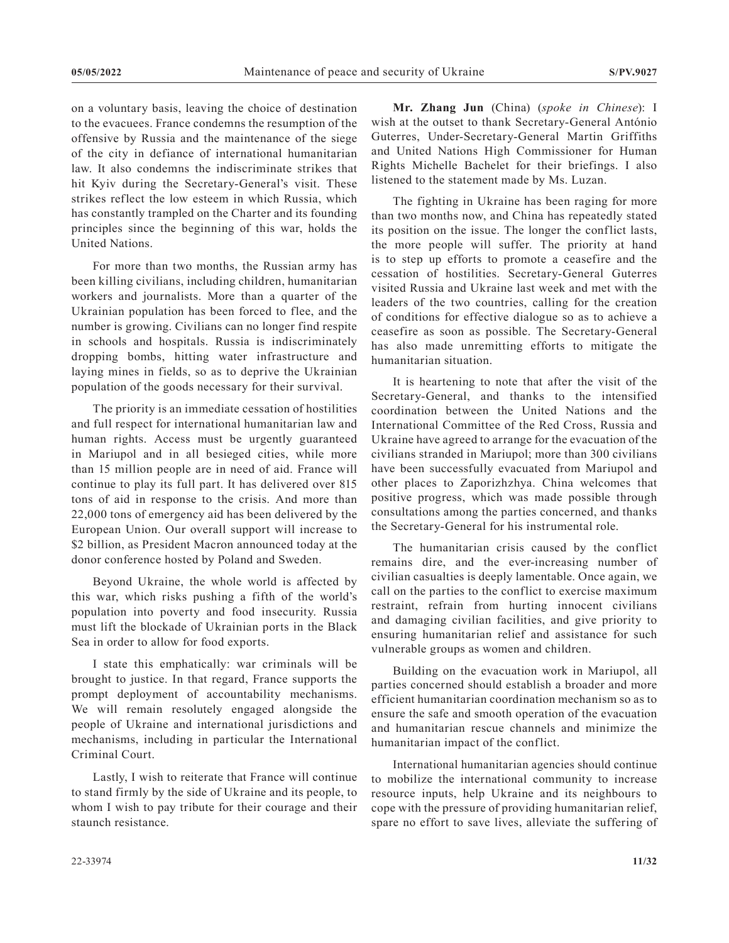on a voluntary basis, leaving the choice of destination to the evacuees. France condemns the resumption of the offensive by Russia and the maintenance of the siege of the city in defiance of international humanitarian law. It also condemns the indiscriminate strikes that hit Kyiv during the Secretary-General's visit. These strikes reflect the low esteem in which Russia, which has constantly trampled on the Charter and its founding principles since the beginning of this war, holds the United Nations.

For more than two months, the Russian army has been killing civilians, including children, humanitarian workers and journalists. More than a quarter of the Ukrainian population has been forced to flee, and the number is growing. Civilians can no longer find respite in schools and hospitals. Russia is indiscriminately dropping bombs, hitting water infrastructure and laying mines in fields, so as to deprive the Ukrainian population of the goods necessary for their survival.

The priority is an immediate cessation of hostilities and full respect for international humanitarian law and human rights. Access must be urgently guaranteed in Mariupol and in all besieged cities, while more than 15 million people are in need of aid. France will continue to play its full part. It has delivered over 815 tons of aid in response to the crisis. And more than 22,000 tons of emergency aid has been delivered by the European Union. Our overall support will increase to \$2 billion, as President Macron announced today at the donor conference hosted by Poland and Sweden.

Beyond Ukraine, the whole world is affected by this war, which risks pushing a fifth of the world's population into poverty and food insecurity. Russia must lift the blockade of Ukrainian ports in the Black Sea in order to allow for food exports.

I state this emphatically: war criminals will be brought to justice. In that regard, France supports the prompt deployment of accountability mechanisms. We will remain resolutely engaged alongside the people of Ukraine and international jurisdictions and mechanisms, including in particular the International Criminal Court.

Lastly, I wish to reiterate that France will continue to stand firmly by the side of Ukraine and its people, to whom I wish to pay tribute for their courage and their staunch resistance.

**Mr. Zhang Jun** (China) (*spoke in Chinese*): I wish at the outset to thank Secretary-General António Guterres, Under-Secretary-General Martin Griffiths and United Nations High Commissioner for Human Rights Michelle Bachelet for their briefings. I also listened to the statement made by Ms. Luzan.

The fighting in Ukraine has been raging for more than two months now, and China has repeatedly stated its position on the issue. The longer the conflict lasts, the more people will suffer. The priority at hand is to step up efforts to promote a ceasefire and the cessation of hostilities. Secretary-General Guterres visited Russia and Ukraine last week and met with the leaders of the two countries, calling for the creation of conditions for effective dialogue so as to achieve a ceasefire as soon as possible. The Secretary-General has also made unremitting efforts to mitigate the humanitarian situation.

It is heartening to note that after the visit of the Secretary-General, and thanks to the intensified coordination between the United Nations and the International Committee of the Red Cross, Russia and Ukraine have agreed to arrange for the evacuation of the civilians stranded in Mariupol; more than 300 civilians have been successfully evacuated from Mariupol and other places to Zaporizhzhya. China welcomes that positive progress, which was made possible through consultations among the parties concerned, and thanks the Secretary-General for his instrumental role.

The humanitarian crisis caused by the conflict remains dire, and the ever-increasing number of civilian casualties is deeply lamentable. Once again, we call on the parties to the conflict to exercise maximum restraint, refrain from hurting innocent civilians and damaging civilian facilities, and give priority to ensuring humanitarian relief and assistance for such vulnerable groups as women and children.

Building on the evacuation work in Mariupol, all parties concerned should establish a broader and more efficient humanitarian coordination mechanism so as to ensure the safe and smooth operation of the evacuation and humanitarian rescue channels and minimize the humanitarian impact of the conflict.

International humanitarian agencies should continue to mobilize the international community to increase resource inputs, help Ukraine and its neighbours to cope with the pressure of providing humanitarian relief, spare no effort to save lives, alleviate the suffering of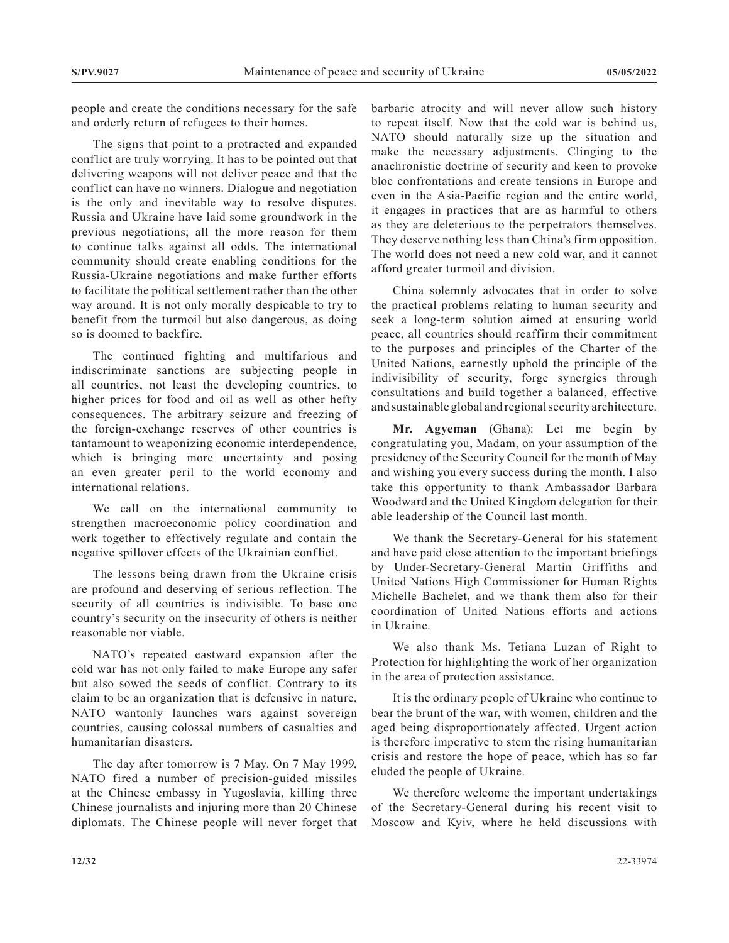people and create the conditions necessary for the safe and orderly return of refugees to their homes.

The signs that point to a protracted and expanded conflict are truly worrying. It has to be pointed out that delivering weapons will not deliver peace and that the conflict can have no winners. Dialogue and negotiation is the only and inevitable way to resolve disputes. Russia and Ukraine have laid some groundwork in the previous negotiations; all the more reason for them to continue talks against all odds. The international community should create enabling conditions for the Russia-Ukraine negotiations and make further efforts to facilitate the political settlement rather than the other way around. It is not only morally despicable to try to benefit from the turmoil but also dangerous, as doing so is doomed to backfire.

The continued fighting and multifarious and indiscriminate sanctions are subjecting people in all countries, not least the developing countries, to higher prices for food and oil as well as other hefty consequences. The arbitrary seizure and freezing of the foreign-exchange reserves of other countries is tantamount to weaponizing economic interdependence, which is bringing more uncertainty and posing an even greater peril to the world economy and international relations.

We call on the international community to strengthen macroeconomic policy coordination and work together to effectively regulate and contain the negative spillover effects of the Ukrainian conflict.

The lessons being drawn from the Ukraine crisis are profound and deserving of serious reflection. The security of all countries is indivisible. To base one country's security on the insecurity of others is neither reasonable nor viable.

NATO's repeated eastward expansion after the cold war has not only failed to make Europe any safer but also sowed the seeds of conflict. Contrary to its claim to be an organization that is defensive in nature, NATO wantonly launches wars against sovereign countries, causing colossal numbers of casualties and humanitarian disasters.

The day after tomorrow is 7 May. On 7 May 1999, NATO fired a number of precision-guided missiles at the Chinese embassy in Yugoslavia, killing three Chinese journalists and injuring more than 20 Chinese diplomats. The Chinese people will never forget that barbaric atrocity and will never allow such history to repeat itself. Now that the cold war is behind us, NATO should naturally size up the situation and make the necessary adjustments. Clinging to the anachronistic doctrine of security and keen to provoke bloc confrontations and create tensions in Europe and even in the Asia-Pacific region and the entire world, it engages in practices that are as harmful to others as they are deleterious to the perpetrators themselves. They deserve nothing less than China's firm opposition. The world does not need a new cold war, and it cannot afford greater turmoil and division.

China solemnly advocates that in order to solve the practical problems relating to human security and seek a long-term solution aimed at ensuring world peace, all countries should reaffirm their commitment to the purposes and principles of the Charter of the United Nations, earnestly uphold the principle of the indivisibility of security, forge synergies through consultations and build together a balanced, effective and sustainable global and regional security architecture.

**Mr. Agyeman** (Ghana): Let me begin by congratulating you, Madam, on your assumption of the presidency of the Security Council for the month of May and wishing you every success during the month. I also take this opportunity to thank Ambassador Barbara Woodward and the United Kingdom delegation for their able leadership of the Council last month.

We thank the Secretary-General for his statement and have paid close attention to the important briefings by Under-Secretary-General Martin Griffiths and United Nations High Commissioner for Human Rights Michelle Bachelet, and we thank them also for their coordination of United Nations efforts and actions in Ukraine.

We also thank Ms. Tetiana Luzan of Right to Protection for highlighting the work of her organization in the area of protection assistance.

It is the ordinary people of Ukraine who continue to bear the brunt of the war, with women, children and the aged being disproportionately affected. Urgent action is therefore imperative to stem the rising humanitarian crisis and restore the hope of peace, which has so far eluded the people of Ukraine.

We therefore welcome the important undertakings of the Secretary-General during his recent visit to Moscow and Kyiv, where he held discussions with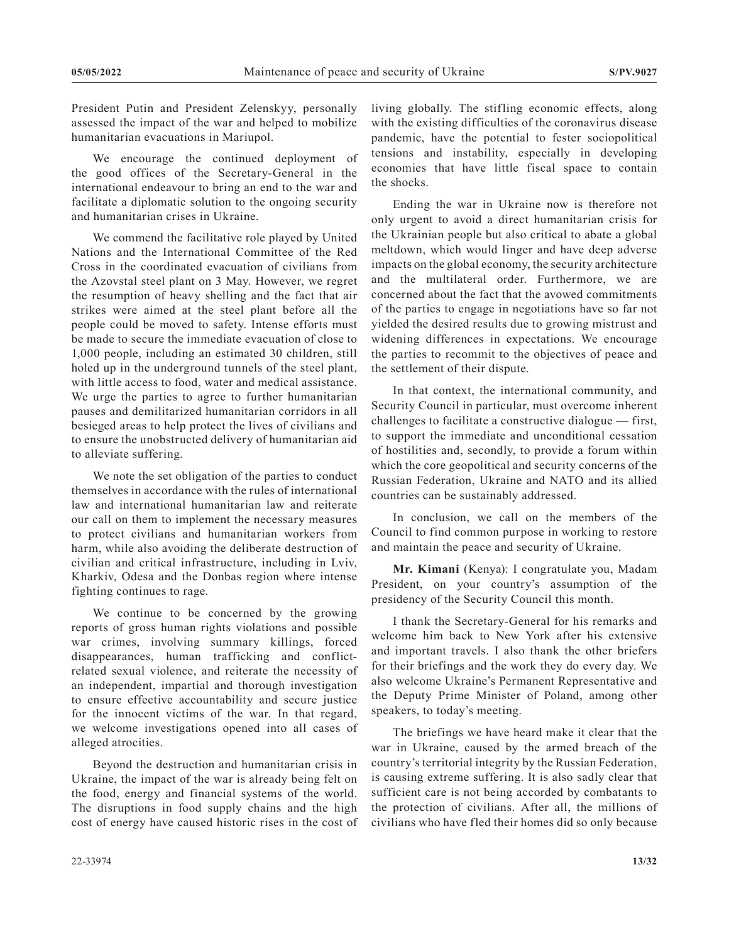President Putin and President Zelenskyy, personally assessed the impact of the war and helped to mobilize humanitarian evacuations in Mariupol.

We encourage the continued deployment of the good offices of the Secretary-General in the international endeavour to bring an end to the war and facilitate a diplomatic solution to the ongoing security and humanitarian crises in Ukraine.

We commend the facilitative role played by United Nations and the International Committee of the Red Cross in the coordinated evacuation of civilians from the Azovstal steel plant on 3 May. However, we regret the resumption of heavy shelling and the fact that air strikes were aimed at the steel plant before all the people could be moved to safety. Intense efforts must be made to secure the immediate evacuation of close to 1,000 people, including an estimated 30 children, still holed up in the underground tunnels of the steel plant, with little access to food, water and medical assistance. We urge the parties to agree to further humanitarian pauses and demilitarized humanitarian corridors in all besieged areas to help protect the lives of civilians and to ensure the unobstructed delivery of humanitarian aid to alleviate suffering.

We note the set obligation of the parties to conduct themselves in accordance with the rules of international law and international humanitarian law and reiterate our call on them to implement the necessary measures to protect civilians and humanitarian workers from harm, while also avoiding the deliberate destruction of civilian and critical infrastructure, including in Lviv, Kharkiv, Odesa and the Donbas region where intense fighting continues to rage.

We continue to be concerned by the growing reports of gross human rights violations and possible war crimes, involving summary killings, forced disappearances, human trafficking and conflictrelated sexual violence, and reiterate the necessity of an independent, impartial and thorough investigation to ensure effective accountability and secure justice for the innocent victims of the war. In that regard, we welcome investigations opened into all cases of alleged atrocities.

Beyond the destruction and humanitarian crisis in Ukraine, the impact of the war is already being felt on the food, energy and financial systems of the world. The disruptions in food supply chains and the high cost of energy have caused historic rises in the cost of living globally. The stifling economic effects, along with the existing difficulties of the coronavirus disease pandemic, have the potential to fester sociopolitical tensions and instability, especially in developing economies that have little fiscal space to contain the shocks.

Ending the war in Ukraine now is therefore not only urgent to avoid a direct humanitarian crisis for the Ukrainian people but also critical to abate a global meltdown, which would linger and have deep adverse impacts on the global economy, the security architecture and the multilateral order. Furthermore, we are concerned about the fact that the avowed commitments of the parties to engage in negotiations have so far not yielded the desired results due to growing mistrust and widening differences in expectations. We encourage the parties to recommit to the objectives of peace and the settlement of their dispute.

In that context, the international community, and Security Council in particular, must overcome inherent challenges to facilitate a constructive dialogue — first, to support the immediate and unconditional cessation of hostilities and, secondly, to provide a forum within which the core geopolitical and security concerns of the Russian Federation, Ukraine and NATO and its allied countries can be sustainably addressed.

In conclusion, we call on the members of the Council to find common purpose in working to restore and maintain the peace and security of Ukraine.

**Mr. Kimani** (Kenya): I congratulate you, Madam President, on your country's assumption of the presidency of the Security Council this month.

I thank the Secretary-General for his remarks and welcome him back to New York after his extensive and important travels. I also thank the other briefers for their briefings and the work they do every day. We also welcome Ukraine's Permanent Representative and the Deputy Prime Minister of Poland, among other speakers, to today's meeting.

The briefings we have heard make it clear that the war in Ukraine, caused by the armed breach of the country's territorial integrity by the Russian Federation, is causing extreme suffering. It is also sadly clear that sufficient care is not being accorded by combatants to the protection of civilians. After all, the millions of civilians who have fled their homes did so only because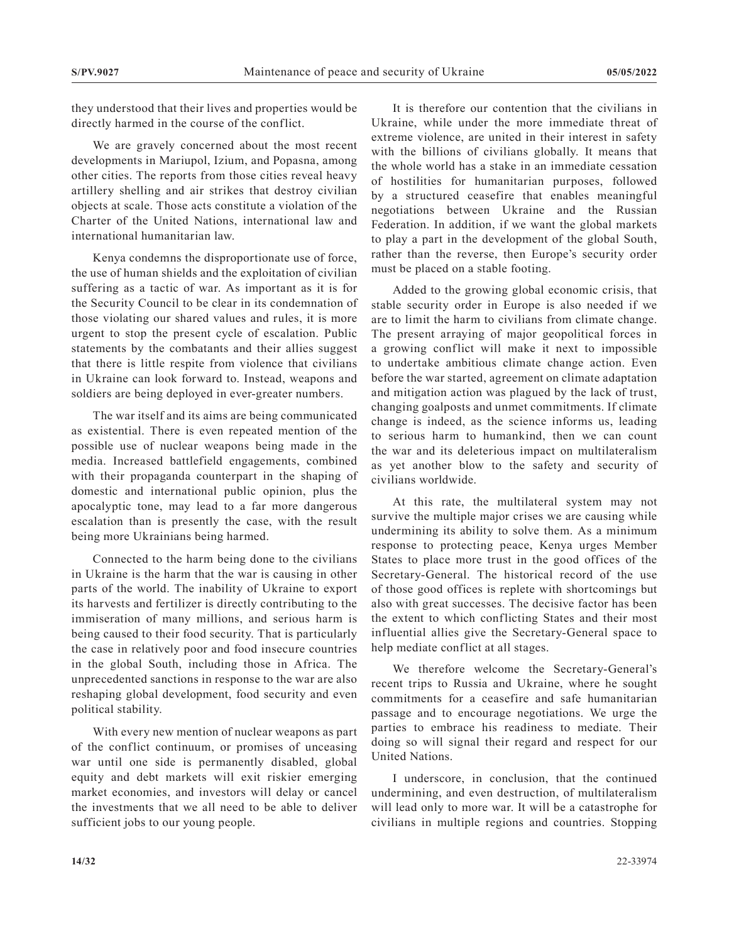they understood that their lives and properties would be directly harmed in the course of the conflict.

We are gravely concerned about the most recent developments in Mariupol, Izium, and Popasna, among other cities. The reports from those cities reveal heavy artillery shelling and air strikes that destroy civilian objects at scale. Those acts constitute a violation of the Charter of the United Nations, international law and international humanitarian law.

Kenya condemns the disproportionate use of force, the use of human shields and the exploitation of civilian suffering as a tactic of war. As important as it is for the Security Council to be clear in its condemnation of those violating our shared values and rules, it is more urgent to stop the present cycle of escalation. Public statements by the combatants and their allies suggest that there is little respite from violence that civilians in Ukraine can look forward to. Instead, weapons and soldiers are being deployed in ever-greater numbers.

The war itself and its aims are being communicated as existential. There is even repeated mention of the possible use of nuclear weapons being made in the media. Increased battlefield engagements, combined with their propaganda counterpart in the shaping of domestic and international public opinion, plus the apocalyptic tone, may lead to a far more dangerous escalation than is presently the case, with the result being more Ukrainians being harmed.

Connected to the harm being done to the civilians in Ukraine is the harm that the war is causing in other parts of the world. The inability of Ukraine to export its harvests and fertilizer is directly contributing to the immiseration of many millions, and serious harm is being caused to their food security. That is particularly the case in relatively poor and food insecure countries in the global South, including those in Africa. The unprecedented sanctions in response to the war are also reshaping global development, food security and even political stability.

With every new mention of nuclear weapons as part of the conflict continuum, or promises of unceasing war until one side is permanently disabled, global equity and debt markets will exit riskier emerging market economies, and investors will delay or cancel the investments that we all need to be able to deliver sufficient jobs to our young people.

It is therefore our contention that the civilians in Ukraine, while under the more immediate threat of extreme violence, are united in their interest in safety with the billions of civilians globally. It means that the whole world has a stake in an immediate cessation of hostilities for humanitarian purposes, followed by a structured ceasefire that enables meaningful negotiations between Ukraine and the Russian Federation. In addition, if we want the global markets to play a part in the development of the global South, rather than the reverse, then Europe's security order must be placed on a stable footing.

Added to the growing global economic crisis, that stable security order in Europe is also needed if we are to limit the harm to civilians from climate change. The present arraying of major geopolitical forces in a growing conflict will make it next to impossible to undertake ambitious climate change action. Even before the war started, agreement on climate adaptation and mitigation action was plagued by the lack of trust, changing goalposts and unmet commitments. If climate change is indeed, as the science informs us, leading to serious harm to humankind, then we can count the war and its deleterious impact on multilateralism as yet another blow to the safety and security of civilians worldwide.

At this rate, the multilateral system may not survive the multiple major crises we are causing while undermining its ability to solve them. As a minimum response to protecting peace, Kenya urges Member States to place more trust in the good offices of the Secretary-General. The historical record of the use of those good offices is replete with shortcomings but also with great successes. The decisive factor has been the extent to which conflicting States and their most influential allies give the Secretary-General space to help mediate conflict at all stages.

We therefore welcome the Secretary-General's recent trips to Russia and Ukraine, where he sought commitments for a ceasefire and safe humanitarian passage and to encourage negotiations. We urge the parties to embrace his readiness to mediate. Their doing so will signal their regard and respect for our United Nations.

I underscore, in conclusion, that the continued undermining, and even destruction, of multilateralism will lead only to more war. It will be a catastrophe for civilians in multiple regions and countries. Stopping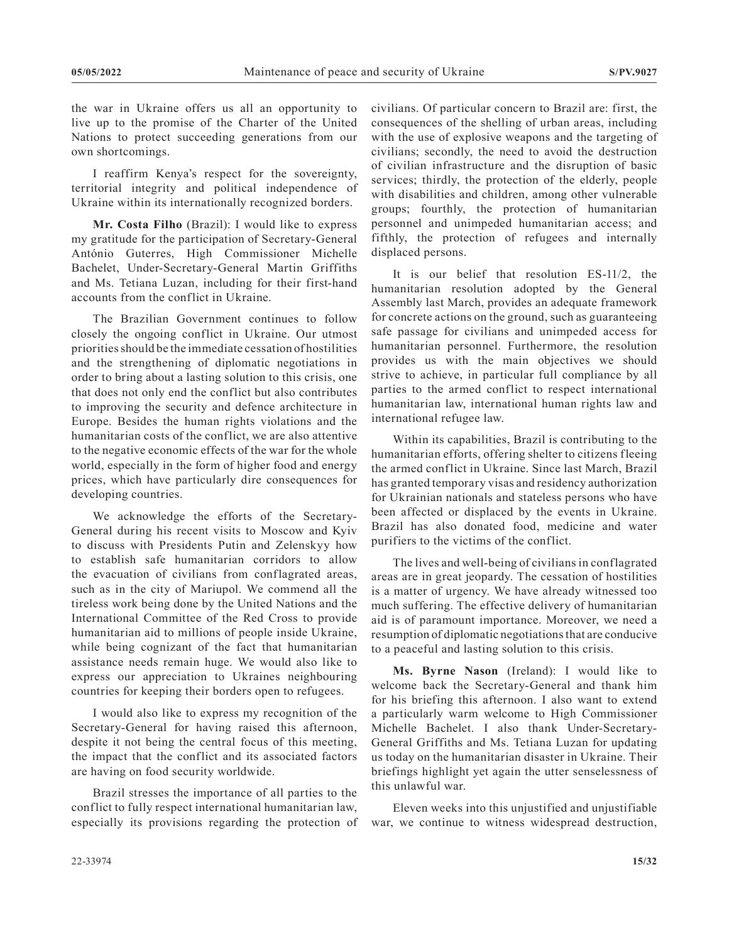the war in Ukraine offers us all an opportunity to live up to the promise of the Charter of the United Nations to protect succeeding generations from our own shortcomings.

I reaffirm Kenya's respect for the sovereignty, territorial integrity and political independence of Ukraine within its internationally recognized borders.

**Mr. Costa Filho** (Brazil): I would like to express my gratitude for the participation of Secretary-General António Guterres, High Commissioner Michelle Bachelet, Under-Secretary-General Martin Griffiths and Ms. Tetiana Luzan, including for their first-hand accounts from the conflict in Ukraine.

The Brazilian Government continues to follow closely the ongoing conflict in Ukraine. Our utmost priorities should be the immediate cessation of hostilities and the strengthening of diplomatic negotiations in order to bring about a lasting solution to this crisis, one that does not only end the conflict but also contributes to improving the security and defence architecture in Europe. Besides the human rights violations and the humanitarian costs of the conflict, we are also attentive to the negative economic effects of the war for the whole world, especially in the form of higher food and energy prices, which have particularly dire consequences for developing countries.

We acknowledge the efforts of the Secretary-General during his recent visits to Moscow and Kyiv to discuss with Presidents Putin and Zelenskyy how to establish safe humanitarian corridors to allow the evacuation of civilians from conflagrated areas, such as in the city of Mariupol. We commend all the tireless work being done by the United Nations and the International Committee of the Red Cross to provide humanitarian aid to millions of people inside Ukraine, while being cognizant of the fact that humanitarian assistance needs remain huge. We would also like to express our appreciation to Ukraines neighbouring countries for keeping their borders open to refugees.

I would also like to express my recognition of the Secretary-General for having raised this afternoon, despite it not being the central focus of this meeting, the impact that the conflict and its associated factors are having on food security worldwide.

Brazil stresses the importance of all parties to the conflict to fully respect international humanitarian law, especially its provisions regarding the protection of civilians. Of particular concern to Brazil are: first, the consequences of the shelling of urban areas, including with the use of explosive weapons and the targeting of civilians; secondly, the need to avoid the destruction of civilian infrastructure and the disruption of basic services; thirdly, the protection of the elderly, people with disabilities and children, among other vulnerable groups; fourthly, the protection of humanitarian personnel and unimpeded humanitarian access; and fifthly, the protection of refugees and internally displaced persons.

It is our belief that resolution ES-11/2, the humanitarian resolution adopted by the General Assembly last March, provides an adequate framework for concrete actions on the ground, such as guaranteeing safe passage for civilians and unimpeded access for humanitarian personnel. Furthermore, the resolution provides us with the main objectives we should strive to achieve, in particular full compliance by all parties to the armed conflict to respect international humanitarian law, international human rights law and international refugee law.

Within its capabilities, Brazil is contributing to the humanitarian efforts, offering shelter to citizens fleeing the armed conflict in Ukraine. Since last March, Brazil has granted temporary visas and residency authorization for Ukrainian nationals and stateless persons who have been affected or displaced by the events in Ukraine. Brazil has also donated food, medicine and water purifiers to the victims of the conflict.

The lives and well-being of civilians in conflagrated areas are in great jeopardy. The cessation of hostilities is a matter of urgency. We have already witnessed too much suffering. The effective delivery of humanitarian aid is of paramount importance. Moreover, we need a resumption of diplomatic negotiations that are conducive to a peaceful and lasting solution to this crisis.

**Ms. Byrne Nason** (Ireland): I would like to welcome back the Secretary-General and thank him for his briefing this afternoon. I also want to extend a particularly warm welcome to High Commissioner Michelle Bachelet. I also thank Under-Secretary-General Griffiths and Ms. Tetiana Luzan for updating us today on the humanitarian disaster in Ukraine. Their briefings highlight yet again the utter senselessness of this unlawful war.

Eleven weeks into this unjustified and unjustifiable war, we continue to witness widespread destruction,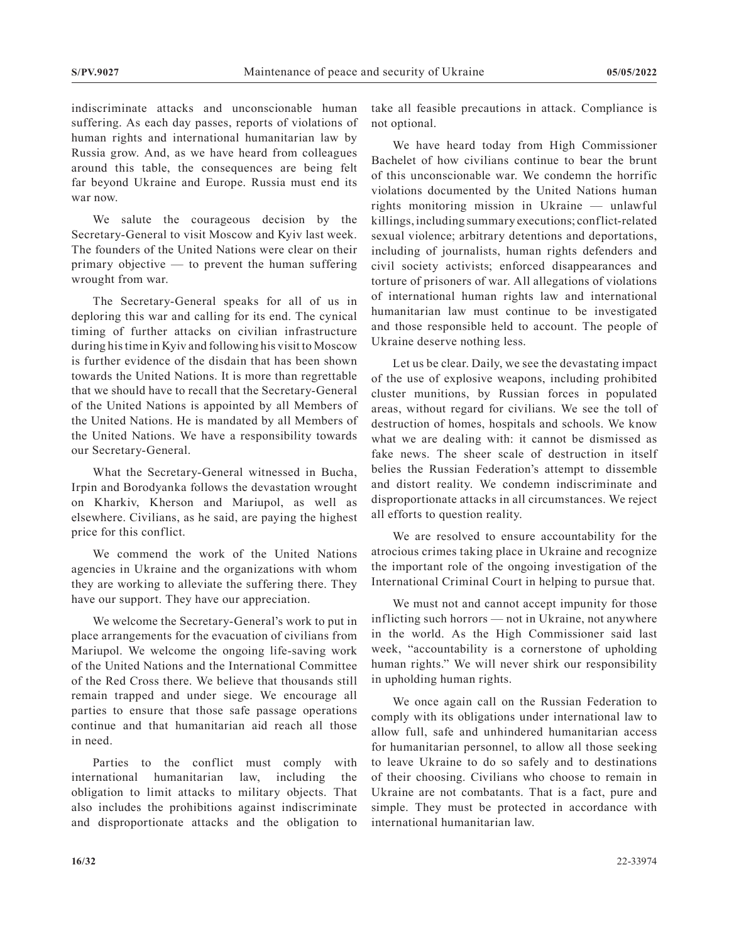indiscriminate attacks and unconscionable human suffering. As each day passes, reports of violations of human rights and international humanitarian law by Russia grow. And, as we have heard from colleagues around this table, the consequences are being felt far beyond Ukraine and Europe. Russia must end its war now.

We salute the courageous decision by the Secretary-General to visit Moscow and Kyiv last week. The founders of the United Nations were clear on their primary objective — to prevent the human suffering wrought from war.

The Secretary-General speaks for all of us in deploring this war and calling for its end. The cynical timing of further attacks on civilian infrastructure during his time in Kyiv and following his visit to Moscow is further evidence of the disdain that has been shown towards the United Nations. It is more than regrettable that we should have to recall that the Secretary-General of the United Nations is appointed by all Members of the United Nations. He is mandated by all Members of the United Nations. We have a responsibility towards our Secretary-General.

What the Secretary-General witnessed in Bucha, Irpin and Borodyanka follows the devastation wrought on Kharkiv, Kherson and Mariupol, as well as elsewhere. Civilians, as he said, are paying the highest price for this conflict.

We commend the work of the United Nations agencies in Ukraine and the organizations with whom they are working to alleviate the suffering there. They have our support. They have our appreciation.

We welcome the Secretary-General's work to put in place arrangements for the evacuation of civilians from Mariupol. We welcome the ongoing life-saving work of the United Nations and the International Committee of the Red Cross there. We believe that thousands still remain trapped and under siege. We encourage all parties to ensure that those safe passage operations continue and that humanitarian aid reach all those in need.

Parties to the conflict must comply with international humanitarian law, including the obligation to limit attacks to military objects. That also includes the prohibitions against indiscriminate and disproportionate attacks and the obligation to take all feasible precautions in attack. Compliance is not optional.

We have heard today from High Commissioner Bachelet of how civilians continue to bear the brunt of this unconscionable war. We condemn the horrific violations documented by the United Nations human rights monitoring mission in Ukraine — unlawful killings, including summary executions; conflict-related sexual violence; arbitrary detentions and deportations, including of journalists, human rights defenders and civil society activists; enforced disappearances and torture of prisoners of war. All allegations of violations of international human rights law and international humanitarian law must continue to be investigated and those responsible held to account. The people of Ukraine deserve nothing less.

Let us be clear. Daily, we see the devastating impact of the use of explosive weapons, including prohibited cluster munitions, by Russian forces in populated areas, without regard for civilians. We see the toll of destruction of homes, hospitals and schools. We know what we are dealing with: it cannot be dismissed as fake news. The sheer scale of destruction in itself belies the Russian Federation's attempt to dissemble and distort reality. We condemn indiscriminate and disproportionate attacks in all circumstances. We reject all efforts to question reality.

We are resolved to ensure accountability for the atrocious crimes taking place in Ukraine and recognize the important role of the ongoing investigation of the International Criminal Court in helping to pursue that.

We must not and cannot accept impunity for those inflicting such horrors — not in Ukraine, not anywhere in the world. As the High Commissioner said last week, "accountability is a cornerstone of upholding human rights." We will never shirk our responsibility in upholding human rights.

We once again call on the Russian Federation to comply with its obligations under international law to allow full, safe and unhindered humanitarian access for humanitarian personnel, to allow all those seeking to leave Ukraine to do so safely and to destinations of their choosing. Civilians who choose to remain in Ukraine are not combatants. That is a fact, pure and simple. They must be protected in accordance with international humanitarian law.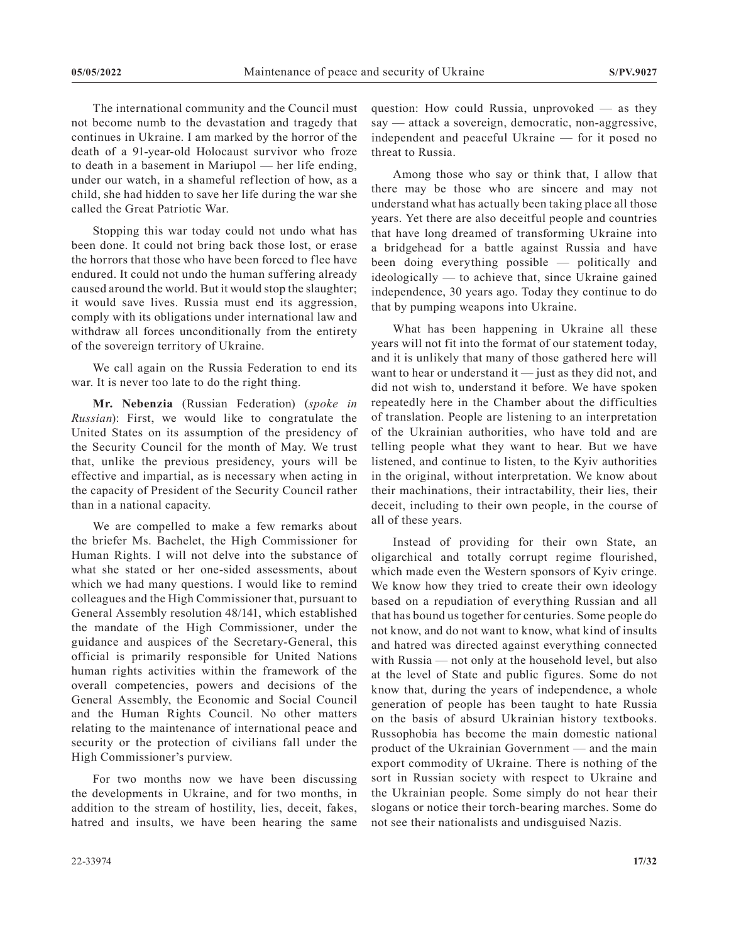The international community and the Council must not become numb to the devastation and tragedy that continues in Ukraine. I am marked by the horror of the death of a 91-year-old Holocaust survivor who froze to death in a basement in Mariupol — her life ending, under our watch, in a shameful reflection of how, as a child, she had hidden to save her life during the war she called the Great Patriotic War.

Stopping this war today could not undo what has been done. It could not bring back those lost, or erase the horrors that those who have been forced to flee have endured. It could not undo the human suffering already caused around the world. But it would stop the slaughter; it would save lives. Russia must end its aggression, comply with its obligations under international law and withdraw all forces unconditionally from the entirety of the sovereign territory of Ukraine.

We call again on the Russia Federation to end its war. It is never too late to do the right thing.

**Mr. Nebenzia** (Russian Federation) (*spoke in Russian*): First, we would like to congratulate the United States on its assumption of the presidency of the Security Council for the month of May. We trust that, unlike the previous presidency, yours will be effective and impartial, as is necessary when acting in the capacity of President of the Security Council rather than in a national capacity.

We are compelled to make a few remarks about the briefer Ms. Bachelet, the High Commissioner for Human Rights. I will not delve into the substance of what she stated or her one-sided assessments, about which we had many questions. I would like to remind colleagues and the High Commissioner that, pursuant to General Assembly resolution 48/141, which established the mandate of the High Commissioner, under the guidance and auspices of the Secretary-General, this official is primarily responsible for United Nations human rights activities within the framework of the overall competencies, powers and decisions of the General Assembly, the Economic and Social Council and the Human Rights Council. No other matters relating to the maintenance of international peace and security or the protection of civilians fall under the High Commissioner's purview.

For two months now we have been discussing the developments in Ukraine, and for two months, in addition to the stream of hostility, lies, deceit, fakes, hatred and insults, we have been hearing the same

22-33974 **17/32**

question: How could Russia, unprovoked — as they say — attack a sovereign, democratic, non-aggressive, independent and peaceful Ukraine — for it posed no threat to Russia.

Among those who say or think that, I allow that there may be those who are sincere and may not understand what has actually been taking place all those years. Yet there are also deceitful people and countries that have long dreamed of transforming Ukraine into a bridgehead for a battle against Russia and have been doing everything possible — politically and ideologically — to achieve that, since Ukraine gained independence, 30 years ago. Today they continue to do that by pumping weapons into Ukraine.

What has been happening in Ukraine all these years will not fit into the format of our statement today, and it is unlikely that many of those gathered here will want to hear or understand it — just as they did not, and did not wish to, understand it before. We have spoken repeatedly here in the Chamber about the difficulties of translation. People are listening to an interpretation of the Ukrainian authorities, who have told and are telling people what they want to hear. But we have listened, and continue to listen, to the Kyiv authorities in the original, without interpretation. We know about their machinations, their intractability, their lies, their deceit, including to their own people, in the course of all of these years.

Instead of providing for their own State, an oligarchical and totally corrupt regime flourished, which made even the Western sponsors of Kyiv cringe. We know how they tried to create their own ideology based on a repudiation of everything Russian and all that has bound us together for centuries. Some people do not know, and do not want to know, what kind of insults and hatred was directed against everything connected with Russia — not only at the household level, but also at the level of State and public figures. Some do not know that, during the years of independence, a whole generation of people has been taught to hate Russia on the basis of absurd Ukrainian history textbooks. Russophobia has become the main domestic national product of the Ukrainian Government — and the main export commodity of Ukraine. There is nothing of the sort in Russian society with respect to Ukraine and the Ukrainian people. Some simply do not hear their slogans or notice their torch-bearing marches. Some do not see their nationalists and undisguised Nazis.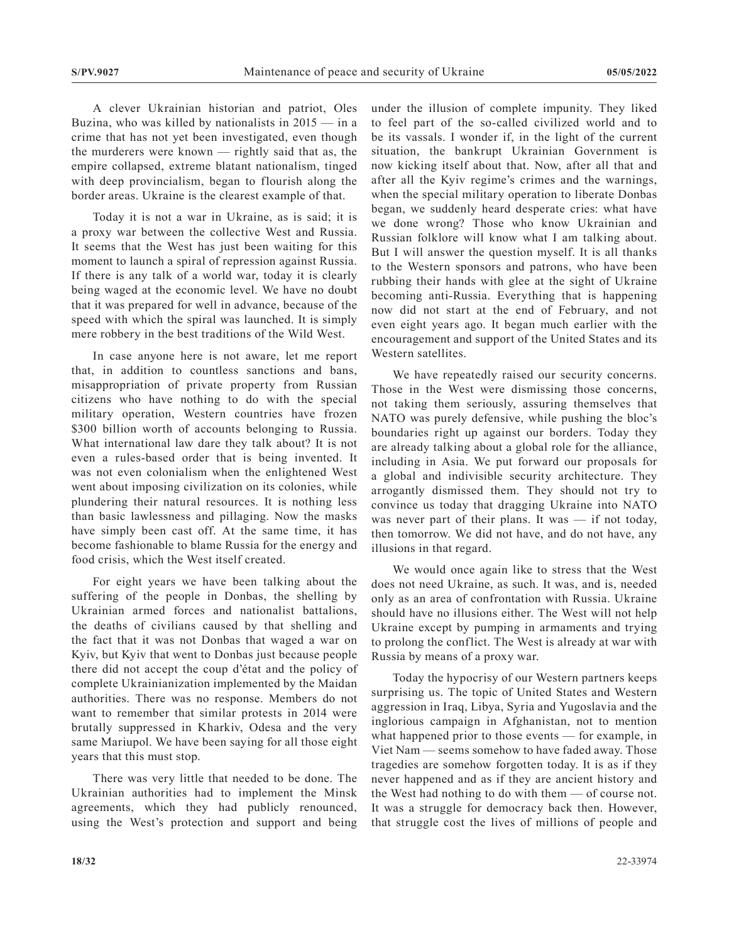A clever Ukrainian historian and patriot, Oles Buzina, who was killed by nationalists in  $2015 -$  in a crime that has not yet been investigated, even though the murderers were known — rightly said that as, the empire collapsed, extreme blatant nationalism, tinged with deep provincialism, began to flourish along the border areas. Ukraine is the clearest example of that.

Today it is not a war in Ukraine, as is said; it is a proxy war between the collective West and Russia. It seems that the West has just been waiting for this moment to launch a spiral of repression against Russia. If there is any talk of a world war, today it is clearly being waged at the economic level. We have no doubt that it was prepared for well in advance, because of the speed with which the spiral was launched. It is simply mere robbery in the best traditions of the Wild West.

In case anyone here is not aware, let me report that, in addition to countless sanctions and bans, misappropriation of private property from Russian citizens who have nothing to do with the special military operation, Western countries have frozen \$300 billion worth of accounts belonging to Russia. What international law dare they talk about? It is not even a rules-based order that is being invented. It was not even colonialism when the enlightened West went about imposing civilization on its colonies, while plundering their natural resources. It is nothing less than basic lawlessness and pillaging. Now the masks have simply been cast off. At the same time, it has become fashionable to blame Russia for the energy and food crisis, which the West itself created.

For eight years we have been talking about the suffering of the people in Donbas, the shelling by Ukrainian armed forces and nationalist battalions, the deaths of civilians caused by that shelling and the fact that it was not Donbas that waged a war on Kyiv, but Kyiv that went to Donbas just because people there did not accept the coup d'état and the policy of complete Ukrainianization implemented by the Maidan authorities. There was no response. Members do not want to remember that similar protests in 2014 were brutally suppressed in Kharkiv, Odesa and the very same Mariupol. We have been saying for all those eight years that this must stop.

There was very little that needed to be done. The Ukrainian authorities had to implement the Minsk agreements, which they had publicly renounced, using the West's protection and support and being under the illusion of complete impunity. They liked to feel part of the so-called civilized world and to be its vassals. I wonder if, in the light of the current situation, the bankrupt Ukrainian Government is now kicking itself about that. Now, after all that and after all the Kyiv regime's crimes and the warnings, when the special military operation to liberate Donbas began, we suddenly heard desperate cries: what have we done wrong? Those who know Ukrainian and Russian folklore will know what I am talking about. But I will answer the question myself. It is all thanks to the Western sponsors and patrons, who have been rubbing their hands with glee at the sight of Ukraine becoming anti-Russia. Everything that is happening now did not start at the end of February, and not even eight years ago. It began much earlier with the encouragement and support of the United States and its Western satellites.

We have repeatedly raised our security concerns. Those in the West were dismissing those concerns, not taking them seriously, assuring themselves that NATO was purely defensive, while pushing the bloc's boundaries right up against our borders. Today they are already talking about a global role for the alliance, including in Asia. We put forward our proposals for a global and indivisible security architecture. They arrogantly dismissed them. They should not try to convince us today that dragging Ukraine into NATO was never part of their plans. It was  $-$  if not today, then tomorrow. We did not have, and do not have, any illusions in that regard.

We would once again like to stress that the West does not need Ukraine, as such. It was, and is, needed only as an area of confrontation with Russia. Ukraine should have no illusions either. The West will not help Ukraine except by pumping in armaments and trying to prolong the conflict. The West is already at war with Russia by means of a proxy war.

Today the hypocrisy of our Western partners keeps surprising us. The topic of United States and Western aggression in Iraq, Libya, Syria and Yugoslavia and the inglorious campaign in Afghanistan, not to mention what happened prior to those events — for example, in Viet Nam — seems somehow to have faded away. Those tragedies are somehow forgotten today. It is as if they never happened and as if they are ancient history and the West had nothing to do with them — of course not. It was a struggle for democracy back then. However, that struggle cost the lives of millions of people and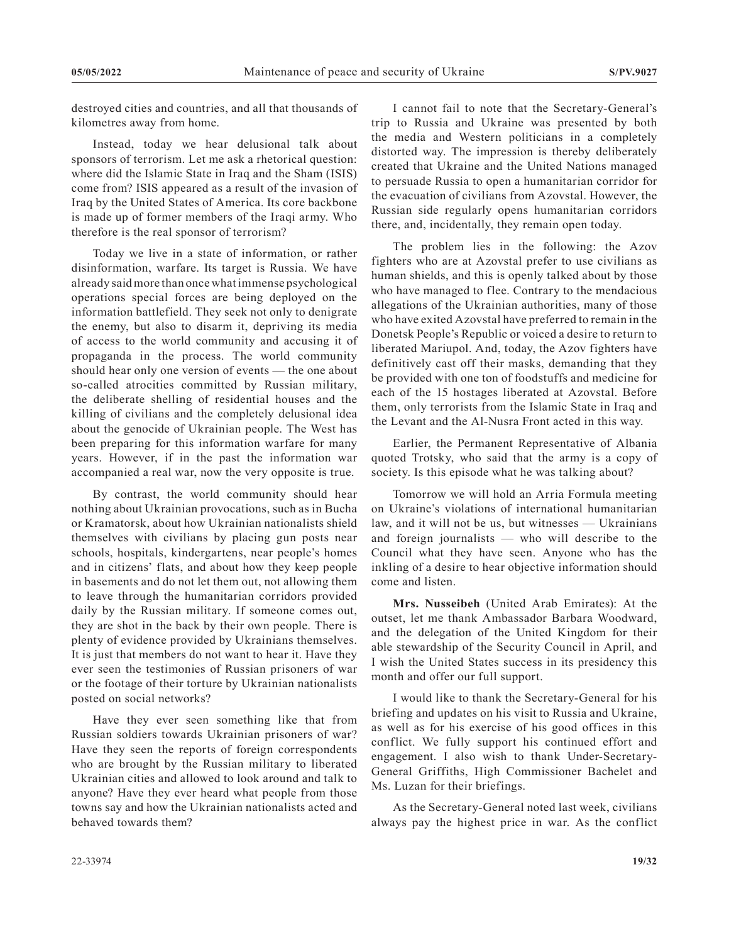destroyed cities and countries, and all that thousands of kilometres away from home.

Instead, today we hear delusional talk about sponsors of terrorism. Let me ask a rhetorical question: where did the Islamic State in Iraq and the Sham (ISIS) come from? ISIS appeared as a result of the invasion of Iraq by the United States of America. Its core backbone is made up of former members of the Iraqi army. Who therefore is the real sponsor of terrorism?

Today we live in a state of information, or rather disinformation, warfare. Its target is Russia. We have already said more than once what immense psychological operations special forces are being deployed on the information battlefield. They seek not only to denigrate the enemy, but also to disarm it, depriving its media of access to the world community and accusing it of propaganda in the process. The world community should hear only one version of events — the one about so-called atrocities committed by Russian military, the deliberate shelling of residential houses and the killing of civilians and the completely delusional idea about the genocide of Ukrainian people. The West has been preparing for this information warfare for many years. However, if in the past the information war accompanied a real war, now the very opposite is true.

By contrast, the world community should hear nothing about Ukrainian provocations, such as in Bucha or Kramatorsk, about how Ukrainian nationalists shield themselves with civilians by placing gun posts near schools, hospitals, kindergartens, near people's homes and in citizens' flats, and about how they keep people in basements and do not let them out, not allowing them to leave through the humanitarian corridors provided daily by the Russian military. If someone comes out, they are shot in the back by their own people. There is plenty of evidence provided by Ukrainians themselves. It is just that members do not want to hear it. Have they ever seen the testimonies of Russian prisoners of war or the footage of their torture by Ukrainian nationalists posted on social networks?

Have they ever seen something like that from Russian soldiers towards Ukrainian prisoners of war? Have they seen the reports of foreign correspondents who are brought by the Russian military to liberated Ukrainian cities and allowed to look around and talk to anyone? Have they ever heard what people from those towns say and how the Ukrainian nationalists acted and behaved towards them?

I cannot fail to note that the Secretary-General's trip to Russia and Ukraine was presented by both the media and Western politicians in a completely distorted way. The impression is thereby deliberately created that Ukraine and the United Nations managed to persuade Russia to open a humanitarian corridor for the evacuation of civilians from Azovstal. However, the Russian side regularly opens humanitarian corridors there, and, incidentally, they remain open today.

The problem lies in the following: the Azov fighters who are at Azovstal prefer to use civilians as human shields, and this is openly talked about by those who have managed to flee. Contrary to the mendacious allegations of the Ukrainian authorities, many of those who have exited Azovstal have preferred to remain in the Donetsk People's Republic or voiced a desire to return to liberated Mariupol. And, today, the Azov fighters have definitively cast off their masks, demanding that they be provided with one ton of foodstuffs and medicine for each of the 15 hostages liberated at Azovstal. Before them, only terrorists from the Islamic State in Iraq and the Levant and the Al-Nusra Front acted in this way.

Earlier, the Permanent Representative of Albania quoted Trotsky, who said that the army is a copy of society. Is this episode what he was talking about?

Tomorrow we will hold an Arria Formula meeting on Ukraine's violations of international humanitarian law, and it will not be us, but witnesses — Ukrainians and foreign journalists — who will describe to the Council what they have seen. Anyone who has the inkling of a desire to hear objective information should come and listen.

**Mrs. Nusseibeh** (United Arab Emirates): At the outset, let me thank Ambassador Barbara Woodward, and the delegation of the United Kingdom for their able stewardship of the Security Council in April, and I wish the United States success in its presidency this month and offer our full support.

I would like to thank the Secretary-General for his briefing and updates on his visit to Russia and Ukraine, as well as for his exercise of his good offices in this conflict. We fully support his continued effort and engagement. I also wish to thank Under-Secretary-General Griffiths, High Commissioner Bachelet and Ms. Luzan for their briefings.

As the Secretary-General noted last week, civilians always pay the highest price in war. As the conflict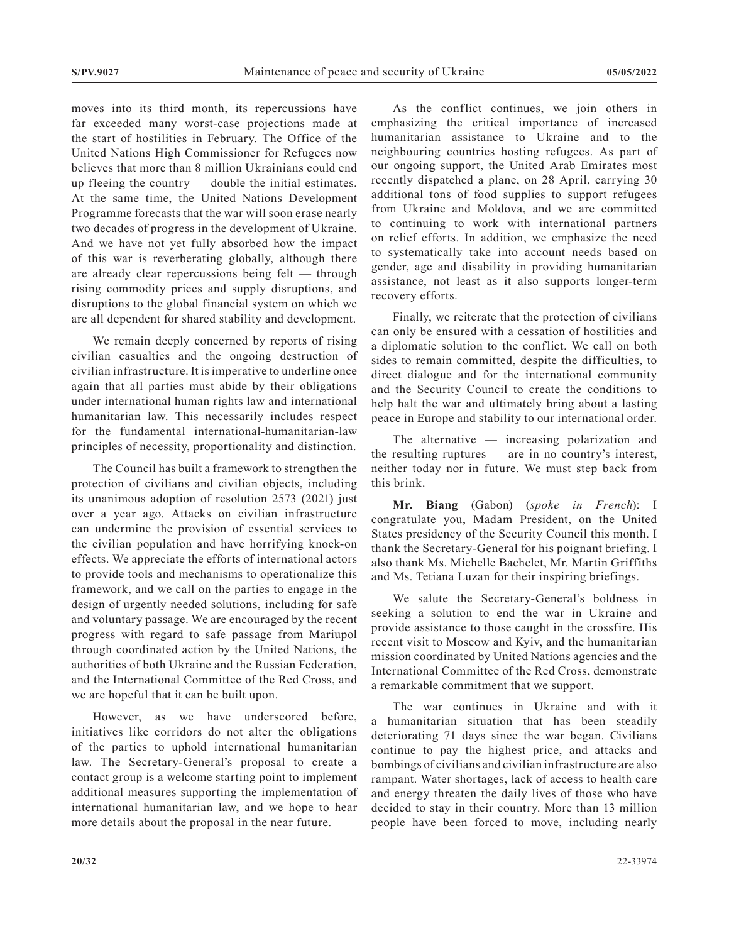moves into its third month, its repercussions have far exceeded many worst-case projections made at the start of hostilities in February. The Office of the United Nations High Commissioner for Refugees now believes that more than 8 million Ukrainians could end up fleeing the country — double the initial estimates. At the same time, the United Nations Development Programme forecasts that the war will soon erase nearly two decades of progress in the development of Ukraine. And we have not yet fully absorbed how the impact of this war is reverberating globally, although there are already clear repercussions being felt — through rising commodity prices and supply disruptions, and disruptions to the global financial system on which we are all dependent for shared stability and development.

We remain deeply concerned by reports of rising civilian casualties and the ongoing destruction of civilian infrastructure. It is imperative to underline once again that all parties must abide by their obligations under international human rights law and international humanitarian law. This necessarily includes respect for the fundamental international-humanitarian-law principles of necessity, proportionality and distinction.

The Council has built a framework to strengthen the protection of civilians and civilian objects, including its unanimous adoption of resolution 2573 (2021) just over a year ago. Attacks on civilian infrastructure can undermine the provision of essential services to the civilian population and have horrifying knock-on effects. We appreciate the efforts of international actors to provide tools and mechanisms to operationalize this framework, and we call on the parties to engage in the design of urgently needed solutions, including for safe and voluntary passage. We are encouraged by the recent progress with regard to safe passage from Mariupol through coordinated action by the United Nations, the authorities of both Ukraine and the Russian Federation, and the International Committee of the Red Cross, and we are hopeful that it can be built upon.

However, as we have underscored before, initiatives like corridors do not alter the obligations of the parties to uphold international humanitarian law. The Secretary-General's proposal to create a contact group is a welcome starting point to implement additional measures supporting the implementation of international humanitarian law, and we hope to hear more details about the proposal in the near future.

As the conflict continues, we join others in emphasizing the critical importance of increased humanitarian assistance to Ukraine and to the neighbouring countries hosting refugees. As part of our ongoing support, the United Arab Emirates most recently dispatched a plane, on 28 April, carrying 30 additional tons of food supplies to support refugees from Ukraine and Moldova, and we are committed to continuing to work with international partners on relief efforts. In addition, we emphasize the need to systematically take into account needs based on gender, age and disability in providing humanitarian assistance, not least as it also supports longer-term recovery efforts.

Finally, we reiterate that the protection of civilians can only be ensured with a cessation of hostilities and a diplomatic solution to the conflict. We call on both sides to remain committed, despite the difficulties, to direct dialogue and for the international community and the Security Council to create the conditions to help halt the war and ultimately bring about a lasting peace in Europe and stability to our international order.

The alternative — increasing polarization and the resulting ruptures — are in no country's interest, neither today nor in future. We must step back from this brink.

**Mr. Biang** (Gabon) (*spoke in French*): I congratulate you, Madam President, on the United States presidency of the Security Council this month. I thank the Secretary-General for his poignant briefing. I also thank Ms. Michelle Bachelet, Mr. Martin Griffiths and Ms. Tetiana Luzan for their inspiring briefings.

We salute the Secretary-General's boldness in seeking a solution to end the war in Ukraine and provide assistance to those caught in the crossfire. His recent visit to Moscow and Kyiv, and the humanitarian mission coordinated by United Nations agencies and the International Committee of the Red Cross, demonstrate a remarkable commitment that we support.

The war continues in Ukraine and with it a humanitarian situation that has been steadily deteriorating 71 days since the war began. Civilians continue to pay the highest price, and attacks and bombings of civilians and civilian infrastructure are also rampant. Water shortages, lack of access to health care and energy threaten the daily lives of those who have decided to stay in their country. More than 13 million people have been forced to move, including nearly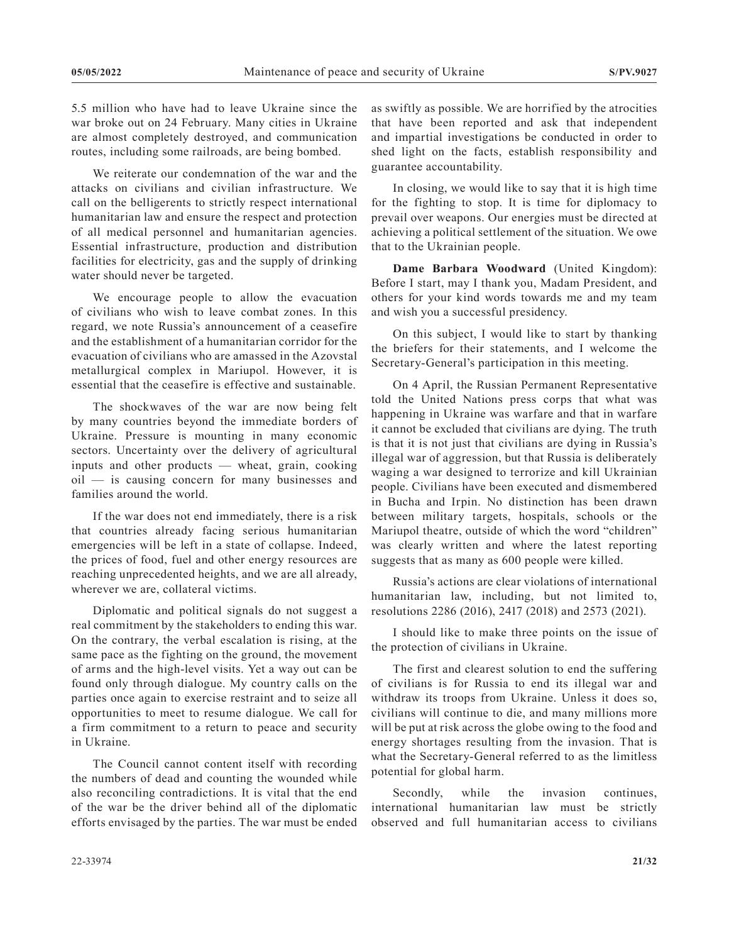5.5 million who have had to leave Ukraine since the war broke out on 24 February. Many cities in Ukraine are almost completely destroyed, and communication routes, including some railroads, are being bombed.

We reiterate our condemnation of the war and the attacks on civilians and civilian infrastructure. We call on the belligerents to strictly respect international humanitarian law and ensure the respect and protection of all medical personnel and humanitarian agencies. Essential infrastructure, production and distribution facilities for electricity, gas and the supply of drinking water should never be targeted.

We encourage people to allow the evacuation of civilians who wish to leave combat zones. In this regard, we note Russia's announcement of a ceasefire and the establishment of a humanitarian corridor for the evacuation of civilians who are amassed in the Azovstal metallurgical complex in Mariupol. However, it is essential that the ceasefire is effective and sustainable.

The shockwaves of the war are now being felt by many countries beyond the immediate borders of Ukraine. Pressure is mounting in many economic sectors. Uncertainty over the delivery of agricultural inputs and other products — wheat, grain, cooking oil — is causing concern for many businesses and families around the world.

If the war does not end immediately, there is a risk that countries already facing serious humanitarian emergencies will be left in a state of collapse. Indeed, the prices of food, fuel and other energy resources are reaching unprecedented heights, and we are all already, wherever we are, collateral victims.

Diplomatic and political signals do not suggest a real commitment by the stakeholders to ending this war. On the contrary, the verbal escalation is rising, at the same pace as the fighting on the ground, the movement of arms and the high-level visits. Yet a way out can be found only through dialogue. My country calls on the parties once again to exercise restraint and to seize all opportunities to meet to resume dialogue. We call for a firm commitment to a return to peace and security in Ukraine.

The Council cannot content itself with recording the numbers of dead and counting the wounded while also reconciling contradictions. It is vital that the end of the war be the driver behind all of the diplomatic efforts envisaged by the parties. The war must be ended

as swiftly as possible. We are horrified by the atrocities that have been reported and ask that independent and impartial investigations be conducted in order to shed light on the facts, establish responsibility and guarantee accountability.

In closing, we would like to say that it is high time for the fighting to stop. It is time for diplomacy to prevail over weapons. Our energies must be directed at achieving a political settlement of the situation. We owe that to the Ukrainian people.

**Dame Barbara Woodward** (United Kingdom): Before I start, may I thank you, Madam President, and others for your kind words towards me and my team and wish you a successful presidency.

On this subject, I would like to start by thanking the briefers for their statements, and I welcome the Secretary-General's participation in this meeting.

On 4 April, the Russian Permanent Representative told the United Nations press corps that what was happening in Ukraine was warfare and that in warfare it cannot be excluded that civilians are dying. The truth is that it is not just that civilians are dying in Russia's illegal war of aggression, but that Russia is deliberately waging a war designed to terrorize and kill Ukrainian people. Civilians have been executed and dismembered in Bucha and Irpin. No distinction has been drawn between military targets, hospitals, schools or the Mariupol theatre, outside of which the word "children" was clearly written and where the latest reporting suggests that as many as 600 people were killed.

Russia's actions are clear violations of international humanitarian law, including, but not limited to, resolutions 2286 (2016), 2417 (2018) and 2573 (2021).

I should like to make three points on the issue of the protection of civilians in Ukraine.

The first and clearest solution to end the suffering of civilians is for Russia to end its illegal war and withdraw its troops from Ukraine. Unless it does so, civilians will continue to die, and many millions more will be put at risk across the globe owing to the food and energy shortages resulting from the invasion. That is what the Secretary-General referred to as the limitless potential for global harm.

Secondly, while the invasion continues, international humanitarian law must be strictly observed and full humanitarian access to civilians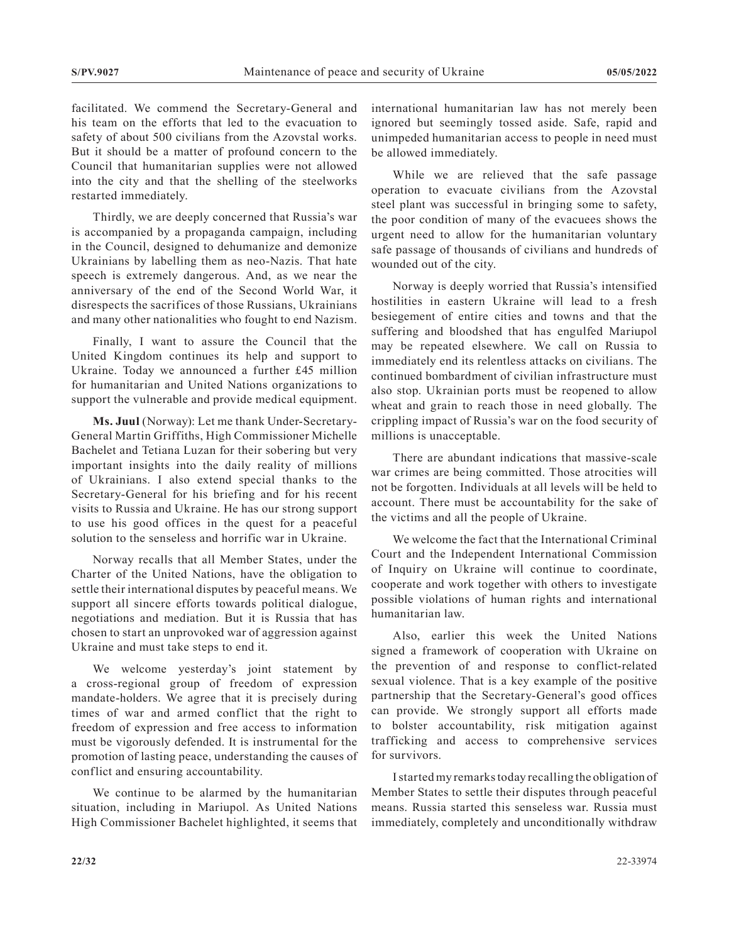facilitated. We commend the Secretary-General and his team on the efforts that led to the evacuation to safety of about 500 civilians from the Azovstal works. But it should be a matter of profound concern to the Council that humanitarian supplies were not allowed into the city and that the shelling of the steelworks restarted immediately.

Thirdly, we are deeply concerned that Russia's war is accompanied by a propaganda campaign, including in the Council, designed to dehumanize and demonize Ukrainians by labelling them as neo-Nazis. That hate speech is extremely dangerous. And, as we near the anniversary of the end of the Second World War, it disrespects the sacrifices of those Russians, Ukrainians and many other nationalities who fought to end Nazism.

Finally, I want to assure the Council that the United Kingdom continues its help and support to Ukraine. Today we announced a further £45 million for humanitarian and United Nations organizations to support the vulnerable and provide medical equipment.

**Ms. Juul** (Norway): Let me thank Under-Secretary-General Martin Griffiths, High Commissioner Michelle Bachelet and Tetiana Luzan for their sobering but very important insights into the daily reality of millions of Ukrainians. I also extend special thanks to the Secretary-General for his briefing and for his recent visits to Russia and Ukraine. He has our strong support to use his good offices in the quest for a peaceful solution to the senseless and horrific war in Ukraine.

Norway recalls that all Member States, under the Charter of the United Nations, have the obligation to settle their international disputes by peaceful means. We support all sincere efforts towards political dialogue, negotiations and mediation. But it is Russia that has chosen to start an unprovoked war of aggression against Ukraine and must take steps to end it.

We welcome yesterday's joint statement by a cross-regional group of freedom of expression mandate-holders. We agree that it is precisely during times of war and armed conflict that the right to freedom of expression and free access to information must be vigorously defended. It is instrumental for the promotion of lasting peace, understanding the causes of conflict and ensuring accountability.

We continue to be alarmed by the humanitarian situation, including in Mariupol. As United Nations High Commissioner Bachelet highlighted, it seems that international humanitarian law has not merely been ignored but seemingly tossed aside. Safe, rapid and unimpeded humanitarian access to people in need must be allowed immediately.

While we are relieved that the safe passage operation to evacuate civilians from the Azovstal steel plant was successful in bringing some to safety, the poor condition of many of the evacuees shows the urgent need to allow for the humanitarian voluntary safe passage of thousands of civilians and hundreds of wounded out of the city.

Norway is deeply worried that Russia's intensified hostilities in eastern Ukraine will lead to a fresh besiegement of entire cities and towns and that the suffering and bloodshed that has engulfed Mariupol may be repeated elsewhere. We call on Russia to immediately end its relentless attacks on civilians. The continued bombardment of civilian infrastructure must also stop. Ukrainian ports must be reopened to allow wheat and grain to reach those in need globally. The crippling impact of Russia's war on the food security of millions is unacceptable.

There are abundant indications that massive-scale war crimes are being committed. Those atrocities will not be forgotten. Individuals at all levels will be held to account. There must be accountability for the sake of the victims and all the people of Ukraine.

We welcome the fact that the International Criminal Court and the Independent International Commission of Inquiry on Ukraine will continue to coordinate, cooperate and work together with others to investigate possible violations of human rights and international humanitarian law.

Also, earlier this week the United Nations signed a framework of cooperation with Ukraine on the prevention of and response to conflict-related sexual violence. That is a key example of the positive partnership that the Secretary-General's good offices can provide. We strongly support all efforts made to bolster accountability, risk mitigation against trafficking and access to comprehensive services for survivors.

I started my remarks today recalling the obligation of Member States to settle their disputes through peaceful means. Russia started this senseless war. Russia must immediately, completely and unconditionally withdraw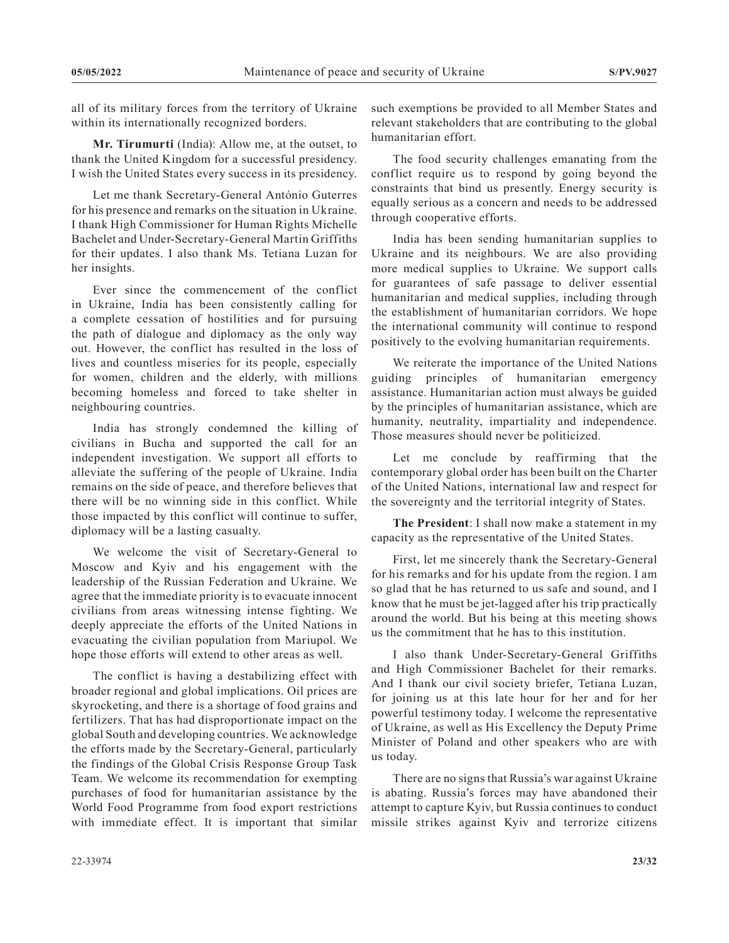all of its military forces from the territory of Ukraine within its internationally recognized borders.

**Mr. Tirumurti** (India): Allow me, at the outset, to thank the United Kingdom for a successful presidency. I wish the United States every success in its presidency.

Let me thank Secretary-General António Guterres for his presence and remarks on the situation in Ukraine. I thank High Commissioner for Human Rights Michelle Bachelet and Under-Secretary-General Martin Griffiths for their updates. I also thank Ms. Tetiana Luzan for her insights.

Ever since the commencement of the conflict in Ukraine, India has been consistently calling for a complete cessation of hostilities and for pursuing the path of dialogue and diplomacy as the only way out. However, the conflict has resulted in the loss of lives and countless miseries for its people, especially for women, children and the elderly, with millions becoming homeless and forced to take shelter in neighbouring countries.

India has strongly condemned the killing of civilians in Bucha and supported the call for an independent investigation. We support all efforts to alleviate the suffering of the people of Ukraine. India remains on the side of peace, and therefore believes that there will be no winning side in this conflict. While those impacted by this conflict will continue to suffer, diplomacy will be a lasting casualty.

We welcome the visit of Secretary-General to Moscow and Kyiv and his engagement with the leadership of the Russian Federation and Ukraine. We agree that the immediate priority is to evacuate innocent civilians from areas witnessing intense fighting. We deeply appreciate the efforts of the United Nations in evacuating the civilian population from Mariupol. We hope those efforts will extend to other areas as well.

The conflict is having a destabilizing effect with broader regional and global implications. Oil prices are skyrocketing, and there is a shortage of food grains and fertilizers. That has had disproportionate impact on the global South and developing countries. We acknowledge the efforts made by the Secretary-General, particularly the findings of the Global Crisis Response Group Task Team. We welcome its recommendation for exempting purchases of food for humanitarian assistance by the World Food Programme from food export restrictions with immediate effect. It is important that similar

such exemptions be provided to all Member States and relevant stakeholders that are contributing to the global humanitarian effort.

The food security challenges emanating from the conflict require us to respond by going beyond the constraints that bind us presently. Energy security is equally serious as a concern and needs to be addressed through cooperative efforts.

India has been sending humanitarian supplies to Ukraine and its neighbours. We are also providing more medical supplies to Ukraine. We support calls for guarantees of safe passage to deliver essential humanitarian and medical supplies, including through the establishment of humanitarian corridors. We hope the international community will continue to respond positively to the evolving humanitarian requirements.

We reiterate the importance of the United Nations guiding principles of humanitarian emergency assistance. Humanitarian action must always be guided by the principles of humanitarian assistance, which are humanity, neutrality, impartiality and independence. Those measures should never be politicized.

Let me conclude by reaffirming that the contemporary global order has been built on the Charter of the United Nations, international law and respect for the sovereignty and the territorial integrity of States.

**The President**: I shall now make a statement in my capacity as the representative of the United States.

First, let me sincerely thank the Secretary-General for his remarks and for his update from the region. I am so glad that he has returned to us safe and sound, and I know that he must be jet-lagged after his trip practically around the world. But his being at this meeting shows us the commitment that he has to this institution.

I also thank Under-Secretary-General Griffiths and High Commissioner Bachelet for their remarks. And I thank our civil society briefer, Tetiana Luzan, for joining us at this late hour for her and for her powerful testimony today. I welcome the representative of Ukraine, as well as His Excellency the Deputy Prime Minister of Poland and other speakers who are with us today.

There are no signs that Russia's war against Ukraine is abating. Russia's forces may have abandoned their attempt to capture Kyiv, but Russia continues to conduct missile strikes against Kyiv and terrorize citizens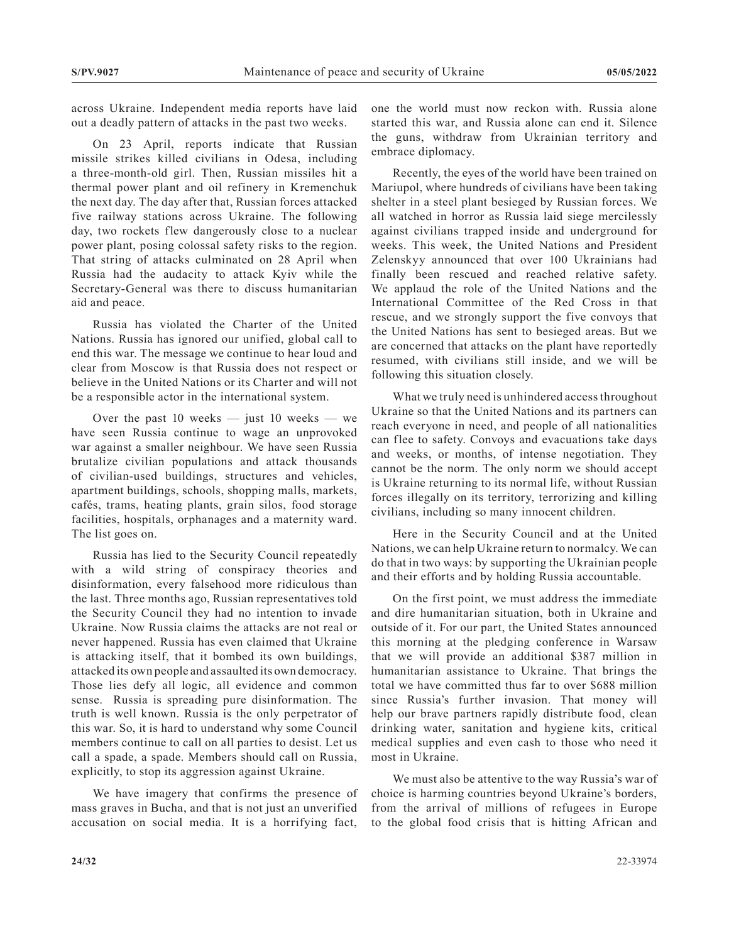across Ukraine. Independent media reports have laid out a deadly pattern of attacks in the past two weeks.

On 23 April, reports indicate that Russian missile strikes killed civilians in Odesa, including a three-month-old girl. Then, Russian missiles hit a thermal power plant and oil refinery in Kremenchuk the next day. The day after that, Russian forces attacked five railway stations across Ukraine. The following day, two rockets flew dangerously close to a nuclear power plant, posing colossal safety risks to the region. That string of attacks culminated on 28 April when Russia had the audacity to attack Kyiv while the Secretary-General was there to discuss humanitarian aid and peace.

Russia has violated the Charter of the United Nations. Russia has ignored our unified, global call to end this war. The message we continue to hear loud and clear from Moscow is that Russia does not respect or believe in the United Nations or its Charter and will not be a responsible actor in the international system.

Over the past 10 weeks — just 10 weeks — we have seen Russia continue to wage an unprovoked war against a smaller neighbour. We have seen Russia brutalize civilian populations and attack thousands of civilian-used buildings, structures and vehicles, apartment buildings, schools, shopping malls, markets, cafés, trams, heating plants, grain silos, food storage facilities, hospitals, orphanages and a maternity ward. The list goes on.

Russia has lied to the Security Council repeatedly with a wild string of conspiracy theories and disinformation, every falsehood more ridiculous than the last. Three months ago, Russian representatives told the Security Council they had no intention to invade Ukraine. Now Russia claims the attacks are not real or never happened. Russia has even claimed that Ukraine is attacking itself, that it bombed its own buildings, attacked its own people and assaulted its own democracy. Those lies defy all logic, all evidence and common sense. Russia is spreading pure disinformation. The truth is well known. Russia is the only perpetrator of this war. So, it is hard to understand why some Council members continue to call on all parties to desist. Let us call a spade, a spade. Members should call on Russia, explicitly, to stop its aggression against Ukraine.

We have imagery that confirms the presence of mass graves in Bucha, and that is not just an unverified accusation on social media. It is a horrifying fact,

one the world must now reckon with. Russia alone started this war, and Russia alone can end it. Silence the guns, withdraw from Ukrainian territory and embrace diplomacy.

Recently, the eyes of the world have been trained on Mariupol, where hundreds of civilians have been taking shelter in a steel plant besieged by Russian forces. We all watched in horror as Russia laid siege mercilessly against civilians trapped inside and underground for weeks. This week, the United Nations and President Zelenskyy announced that over 100 Ukrainians had finally been rescued and reached relative safety. We applaud the role of the United Nations and the International Committee of the Red Cross in that rescue, and we strongly support the five convoys that the United Nations has sent to besieged areas. But we are concerned that attacks on the plant have reportedly resumed, with civilians still inside, and we will be following this situation closely.

What we truly need is unhindered access throughout Ukraine so that the United Nations and its partners can reach everyone in need, and people of all nationalities can flee to safety. Convoys and evacuations take days and weeks, or months, of intense negotiation. They cannot be the norm. The only norm we should accept is Ukraine returning to its normal life, without Russian forces illegally on its territory, terrorizing and killing civilians, including so many innocent children.

Here in the Security Council and at the United Nations, we can help Ukraine return to normalcy. We can do that in two ways: by supporting the Ukrainian people and their efforts and by holding Russia accountable.

On the first point, we must address the immediate and dire humanitarian situation, both in Ukraine and outside of it. For our part, the United States announced this morning at the pledging conference in Warsaw that we will provide an additional \$387 million in humanitarian assistance to Ukraine. That brings the total we have committed thus far to over \$688 million since Russia's further invasion. That money will help our brave partners rapidly distribute food, clean drinking water, sanitation and hygiene kits, critical medical supplies and even cash to those who need it most in Ukraine.

We must also be attentive to the way Russia's war of choice is harming countries beyond Ukraine's borders, from the arrival of millions of refugees in Europe to the global food crisis that is hitting African and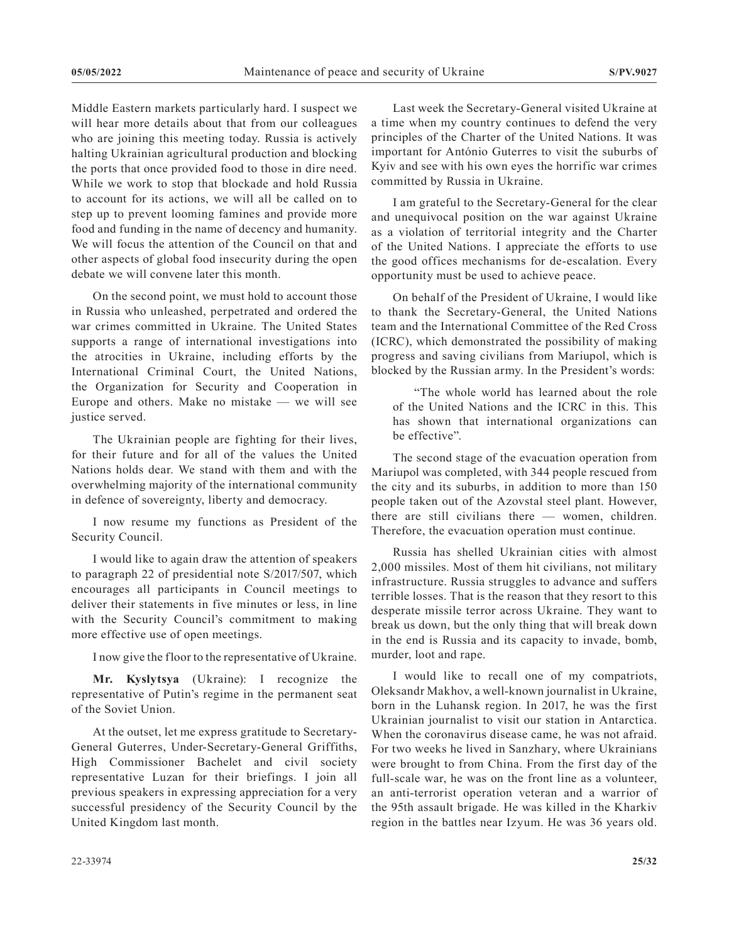Middle Eastern markets particularly hard. I suspect we will hear more details about that from our colleagues who are joining this meeting today. Russia is actively halting Ukrainian agricultural production and blocking the ports that once provided food to those in dire need. While we work to stop that blockade and hold Russia to account for its actions, we will all be called on to step up to prevent looming famines and provide more food and funding in the name of decency and humanity. We will focus the attention of the Council on that and other aspects of global food insecurity during the open debate we will convene later this month.

On the second point, we must hold to account those in Russia who unleashed, perpetrated and ordered the war crimes committed in Ukraine. The United States supports a range of international investigations into the atrocities in Ukraine, including efforts by the International Criminal Court, the United Nations, the Organization for Security and Cooperation in Europe and others. Make no mistake — we will see justice served.

The Ukrainian people are fighting for their lives, for their future and for all of the values the United Nations holds dear. We stand with them and with the overwhelming majority of the international community in defence of sovereignty, liberty and democracy.

I now resume my functions as President of the Security Council.

I would like to again draw the attention of speakers to paragraph 22 of presidential note S/2017/507, which encourages all participants in Council meetings to deliver their statements in five minutes or less, in line with the Security Council's commitment to making more effective use of open meetings.

I now give the floor to the representative of Ukraine.

**Mr. Kyslytsya** (Ukraine): I recognize the representative of Putin's regime in the permanent seat of the Soviet Union.

At the outset, let me express gratitude to Secretary-General Guterres, Under-Secretary-General Griffiths, High Commissioner Bachelet and civil society representative Luzan for their briefings. I join all previous speakers in expressing appreciation for a very successful presidency of the Security Council by the United Kingdom last month.

Last week the Secretary-General visited Ukraine at a time when my country continues to defend the very principles of the Charter of the United Nations. It was important for António Guterres to visit the suburbs of Kyiv and see with his own eyes the horrific war crimes committed by Russia in Ukraine.

I am grateful to the Secretary-General for the clear and unequivocal position on the war against Ukraine as a violation of territorial integrity and the Charter of the United Nations. I appreciate the efforts to use the good offices mechanisms for de-escalation. Every opportunity must be used to achieve peace.

On behalf of the President of Ukraine, I would like to thank the Secretary-General, the United Nations team and the International Committee of the Red Cross (ICRC), which demonstrated the possibility of making progress and saving civilians from Mariupol, which is blocked by the Russian army. In the President's words:

"The whole world has learned about the role of the United Nations and the ICRC in this. This has shown that international organizations can be effective".

The second stage of the evacuation operation from Mariupol was completed, with 344 people rescued from the city and its suburbs, in addition to more than 150 people taken out of the Azovstal steel plant. However, there are still civilians there — women, children. Therefore, the evacuation operation must continue.

Russia has shelled Ukrainian cities with almost 2,000 missiles. Most of them hit civilians, not military infrastructure. Russia struggles to advance and suffers terrible losses. That is the reason that they resort to this desperate missile terror across Ukraine. They want to break us down, but the only thing that will break down in the end is Russia and its capacity to invade, bomb, murder, loot and rape.

I would like to recall one of my compatriots, Oleksandr Makhov, a well-known journalist in Ukraine, born in the Luhansk region. In 2017, he was the first Ukrainian journalist to visit our station in Antarctica. When the coronavirus disease came, he was not afraid. For two weeks he lived in Sanzhary, where Ukrainians were brought to from China. From the first day of the full-scale war, he was on the front line as a volunteer, an anti-terrorist operation veteran and a warrior of the 95th assault brigade. He was killed in the Kharkiv region in the battles near Izyum. He was 36 years old.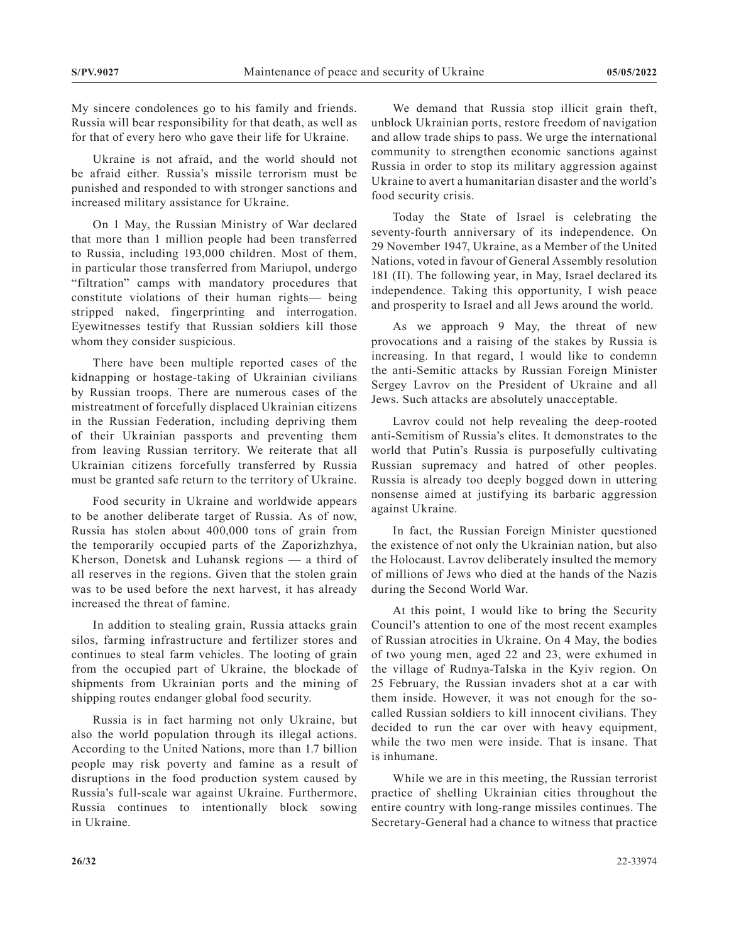My sincere condolences go to his family and friends. Russia will bear responsibility for that death, as well as for that of every hero who gave their life for Ukraine.

Ukraine is not afraid, and the world should not be afraid either. Russia's missile terrorism must be punished and responded to with stronger sanctions and increased military assistance for Ukraine.

On 1 May, the Russian Ministry of War declared that more than 1 million people had been transferred to Russia, including 193,000 children. Most of them, in particular those transferred from Mariupol, undergo "filtration" camps with mandatory procedures that constitute violations of their human rights— being stripped naked, fingerprinting and interrogation. Eyewitnesses testify that Russian soldiers kill those whom they consider suspicious.

There have been multiple reported cases of the kidnapping or hostage-taking of Ukrainian civilians by Russian troops. There are numerous cases of the mistreatment of forcefully displaced Ukrainian citizens in the Russian Federation, including depriving them of their Ukrainian passports and preventing them from leaving Russian territory. We reiterate that all Ukrainian citizens forcefully transferred by Russia must be granted safe return to the territory of Ukraine.

Food security in Ukraine and worldwide appears to be another deliberate target of Russia. As of now, Russia has stolen about 400,000 tons of grain from the temporarily occupied parts of the Zaporizhzhya, Kherson, Donetsk and Luhansk regions — a third of all reserves in the regions. Given that the stolen grain was to be used before the next harvest, it has already increased the threat of famine.

In addition to stealing grain, Russia attacks grain silos, farming infrastructure and fertilizer stores and continues to steal farm vehicles. The looting of grain from the occupied part of Ukraine, the blockade of shipments from Ukrainian ports and the mining of shipping routes endanger global food security.

Russia is in fact harming not only Ukraine, but also the world population through its illegal actions. According to the United Nations, more than 1.7 billion people may risk poverty and famine as a result of disruptions in the food production system caused by Russia's full-scale war against Ukraine. Furthermore, Russia continues to intentionally block sowing in Ukraine.

We demand that Russia stop illicit grain theft, unblock Ukrainian ports, restore freedom of navigation and allow trade ships to pass. We urge the international community to strengthen economic sanctions against Russia in order to stop its military aggression against Ukraine to avert a humanitarian disaster and the world's food security crisis.

Today the State of Israel is celebrating the seventy-fourth anniversary of its independence. On 29 November 1947, Ukraine, as a Member of the United Nations, voted in favour of General Assembly resolution 181 (II). The following year, in May, Israel declared its independence. Taking this opportunity, I wish peace and prosperity to Israel and all Jews around the world.

As we approach 9 May, the threat of new provocations and a raising of the stakes by Russia is increasing. In that regard, I would like to condemn the anti-Semitic attacks by Russian Foreign Minister Sergey Lavrov on the President of Ukraine and all Jews. Such attacks are absolutely unacceptable.

Lavrov could not help revealing the deep-rooted anti-Semitism of Russia's elites. It demonstrates to the world that Putin's Russia is purposefully cultivating Russian supremacy and hatred of other peoples. Russia is already too deeply bogged down in uttering nonsense aimed at justifying its barbaric aggression against Ukraine.

In fact, the Russian Foreign Minister questioned the existence of not only the Ukrainian nation, but also the Holocaust. Lavrov deliberately insulted the memory of millions of Jews who died at the hands of the Nazis during the Second World War.

At this point, I would like to bring the Security Council's attention to one of the most recent examples of Russian atrocities in Ukraine. On 4 May, the bodies of two young men, aged 22 and 23, were exhumed in the village of Rudnya-Talska in the Kyiv region. On 25 February, the Russian invaders shot at a car with them inside. However, it was not enough for the socalled Russian soldiers to kill innocent civilians. They decided to run the car over with heavy equipment, while the two men were inside. That is insane. That is inhumane.

While we are in this meeting, the Russian terrorist practice of shelling Ukrainian cities throughout the entire country with long-range missiles continues. The Secretary-General had a chance to witness that practice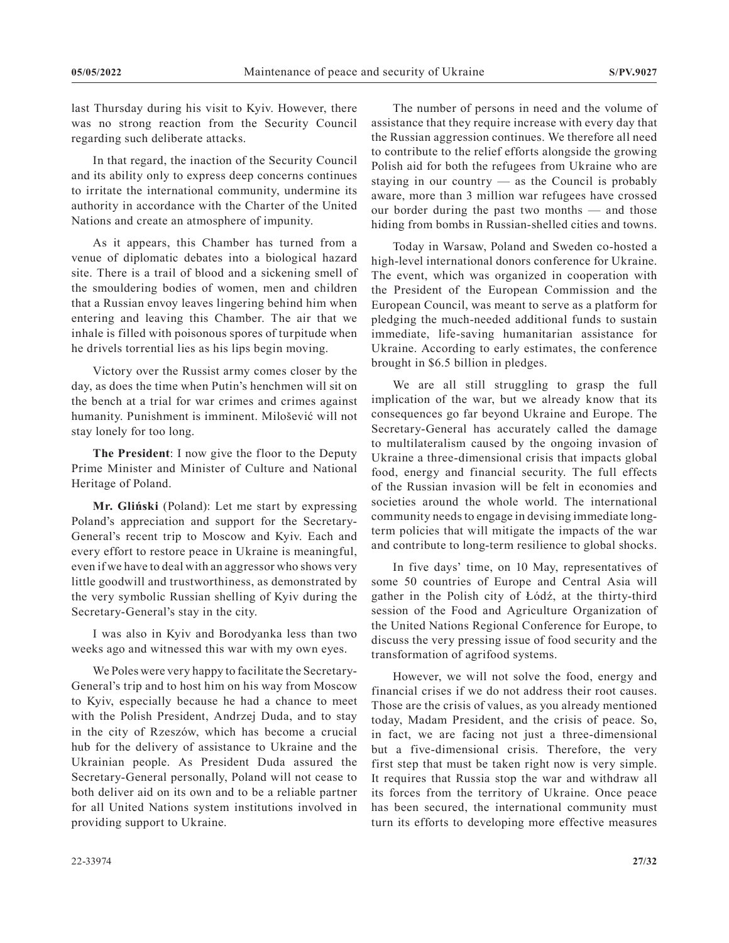last Thursday during his visit to Kyiv. However, there was no strong reaction from the Security Council regarding such deliberate attacks.

In that regard, the inaction of the Security Council and its ability only to express deep concerns continues to irritate the international community, undermine its authority in accordance with the Charter of the United Nations and create an atmosphere of impunity.

As it appears, this Chamber has turned from a venue of diplomatic debates into a biological hazard site. There is a trail of blood and a sickening smell of the smouldering bodies of women, men and children that a Russian envoy leaves lingering behind him when entering and leaving this Chamber. The air that we inhale is filled with poisonous spores of turpitude when he drivels torrential lies as his lips begin moving.

Victory over the Russist army comes closer by the day, as does the time when Putin's henchmen will sit on the bench at a trial for war crimes and crimes against humanity. Punishment is imminent. Milošević will not stay lonely for too long.

**The President**: I now give the floor to the Deputy Prime Minister and Minister of Culture and National Heritage of Poland.

**Mr. Gliński** (Poland): Let me start by expressing Poland's appreciation and support for the Secretary-General's recent trip to Moscow and Kyiv. Each and every effort to restore peace in Ukraine is meaningful, even if we have to deal with an aggressor who shows very little goodwill and trustworthiness, as demonstrated by the very symbolic Russian shelling of Kyiv during the Secretary-General's stay in the city.

I was also in Kyiv and Borodyanka less than two weeks ago and witnessed this war with my own eyes.

We Poles were very happy to facilitate the Secretary-General's trip and to host him on his way from Moscow to Kyiv, especially because he had a chance to meet with the Polish President, Andrzej Duda, and to stay in the city of Rzeszów, which has become a crucial hub for the delivery of assistance to Ukraine and the Ukrainian people. As President Duda assured the Secretary-General personally, Poland will not cease to both deliver aid on its own and to be a reliable partner for all United Nations system institutions involved in providing support to Ukraine.

The number of persons in need and the volume of assistance that they require increase with every day that the Russian aggression continues. We therefore all need to contribute to the relief efforts alongside the growing Polish aid for both the refugees from Ukraine who are staying in our country — as the Council is probably aware, more than 3 million war refugees have crossed our border during the past two months — and those hiding from bombs in Russian-shelled cities and towns.

Today in Warsaw, Poland and Sweden co-hosted a high-level international donors conference for Ukraine. The event, which was organized in cooperation with the President of the European Commission and the European Council, was meant to serve as a platform for pledging the much-needed additional funds to sustain immediate, life-saving humanitarian assistance for Ukraine. According to early estimates, the conference brought in \$6.5 billion in pledges.

We are all still struggling to grasp the full implication of the war, but we already know that its consequences go far beyond Ukraine and Europe. The Secretary-General has accurately called the damage to multilateralism caused by the ongoing invasion of Ukraine a three-dimensional crisis that impacts global food, energy and financial security. The full effects of the Russian invasion will be felt in economies and societies around the whole world. The international community needs to engage in devising immediate longterm policies that will mitigate the impacts of the war and contribute to long-term resilience to global shocks.

In five days' time, on 10 May, representatives of some 50 countries of Europe and Central Asia will gather in the Polish city of Łódź, at the thirty-third session of the Food and Agriculture Organization of the United Nations Regional Conference for Europe, to discuss the very pressing issue of food security and the transformation of agrifood systems.

However, we will not solve the food, energy and financial crises if we do not address their root causes. Those are the crisis of values, as you already mentioned today, Madam President, and the crisis of peace. So, in fact, we are facing not just a three-dimensional but a five-dimensional crisis. Therefore, the very first step that must be taken right now is very simple. It requires that Russia stop the war and withdraw all its forces from the territory of Ukraine. Once peace has been secured, the international community must turn its efforts to developing more effective measures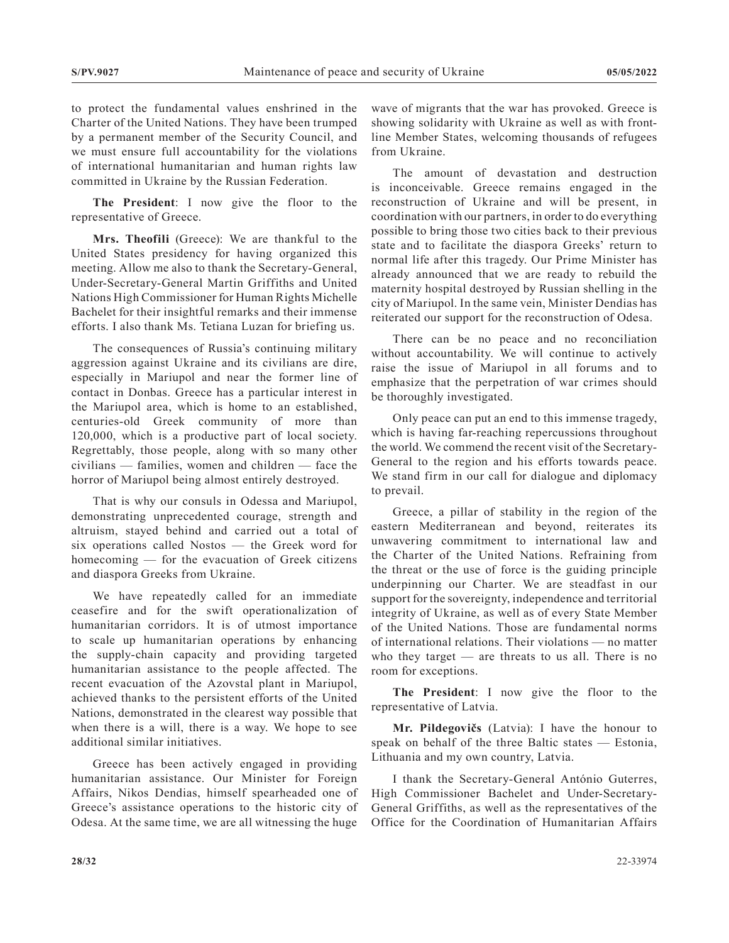to protect the fundamental values enshrined in the Charter of the United Nations. They have been trumped by a permanent member of the Security Council, and we must ensure full accountability for the violations of international humanitarian and human rights law committed in Ukraine by the Russian Federation.

**The President**: I now give the floor to the representative of Greece.

**Mrs. Theofili** (Greece): We are thankful to the United States presidency for having organized this meeting. Allow me also to thank the Secretary-General, Under-Secretary-General Martin Griffiths and United Nations High Commissioner for Human Rights Michelle Bachelet for their insightful remarks and their immense efforts. I also thank Ms. Tetiana Luzan for briefing us.

The consequences of Russia's continuing military aggression against Ukraine and its civilians are dire, especially in Mariupol and near the former line of contact in Donbas. Greece has a particular interest in the Mariupol area, which is home to an established, centuries-old Greek community of more than 120,000, which is a productive part of local society. Regrettably, those people, along with so many other civilians — families, women and children — face the horror of Mariupol being almost entirely destroyed.

That is why our consuls in Odessa and Mariupol, demonstrating unprecedented courage, strength and altruism, stayed behind and carried out a total of six operations called Nostos — the Greek word for homecoming — for the evacuation of Greek citizens and diaspora Greeks from Ukraine.

We have repeatedly called for an immediate ceasefire and for the swift operationalization of humanitarian corridors. It is of utmost importance to scale up humanitarian operations by enhancing the supply-chain capacity and providing targeted humanitarian assistance to the people affected. The recent evacuation of the Azovstal plant in Mariupol, achieved thanks to the persistent efforts of the United Nations, demonstrated in the clearest way possible that when there is a will, there is a way. We hope to see additional similar initiatives.

Greece has been actively engaged in providing humanitarian assistance. Our Minister for Foreign Affairs, Nikos Dendias, himself spearheaded one of Greece's assistance operations to the historic city of Odesa. At the same time, we are all witnessing the huge

wave of migrants that the war has provoked. Greece is showing solidarity with Ukraine as well as with frontline Member States, welcoming thousands of refugees from Ukraine.

The amount of devastation and destruction is inconceivable. Greece remains engaged in the reconstruction of Ukraine and will be present, in coordination with our partners, in order to do everything possible to bring those two cities back to their previous state and to facilitate the diaspora Greeks' return to normal life after this tragedy. Our Prime Minister has already announced that we are ready to rebuild the maternity hospital destroyed by Russian shelling in the city of Mariupol. In the same vein, Minister Dendias has reiterated our support for the reconstruction of Odesa.

There can be no peace and no reconciliation without accountability. We will continue to actively raise the issue of Mariupol in all forums and to emphasize that the perpetration of war crimes should be thoroughly investigated.

Only peace can put an end to this immense tragedy, which is having far-reaching repercussions throughout the world. We commend the recent visit of the Secretary-General to the region and his efforts towards peace. We stand firm in our call for dialogue and diplomacy to prevail.

Greece, a pillar of stability in the region of the eastern Mediterranean and beyond, reiterates its unwavering commitment to international law and the Charter of the United Nations. Refraining from the threat or the use of force is the guiding principle underpinning our Charter. We are steadfast in our support for the sovereignty, independence and territorial integrity of Ukraine, as well as of every State Member of the United Nations. Those are fundamental norms of international relations. Their violations — no matter who they target  $-$  are threats to us all. There is no room for exceptions.

**The President**: I now give the floor to the representative of Latvia.

**Mr. Pildegovičs** (Latvia): I have the honour to speak on behalf of the three Baltic states — Estonia, Lithuania and my own country, Latvia.

I thank the Secretary-General António Guterres, High Commissioner Bachelet and Under-Secretary-General Griffiths, as well as the representatives of the Office for the Coordination of Humanitarian Affairs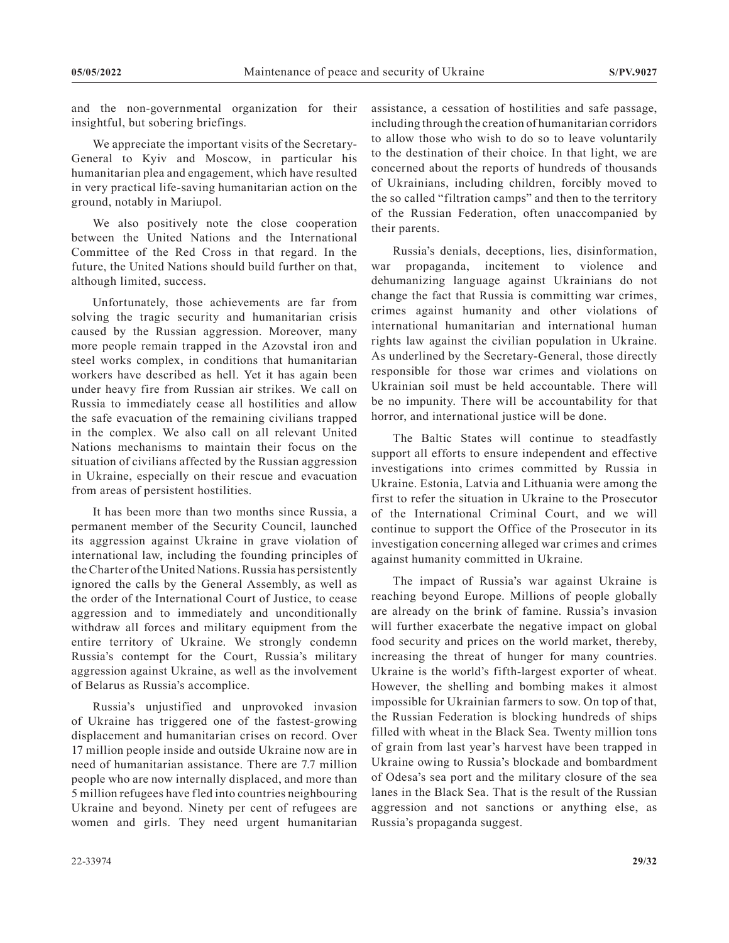and the non-governmental organization for their insightful, but sobering briefings.

We appreciate the important visits of the Secretary-General to Kyiv and Moscow, in particular his humanitarian plea and engagement, which have resulted in very practical life-saving humanitarian action on the ground, notably in Mariupol.

We also positively note the close cooperation between the United Nations and the International Committee of the Red Cross in that regard. In the future, the United Nations should build further on that, although limited, success.

Unfortunately, those achievements are far from solving the tragic security and humanitarian crisis caused by the Russian aggression. Moreover, many more people remain trapped in the Azovstal iron and steel works complex, in conditions that humanitarian workers have described as hell. Yet it has again been under heavy fire from Russian air strikes. We call on Russia to immediately cease all hostilities and allow the safe evacuation of the remaining civilians trapped in the complex. We also call on all relevant United Nations mechanisms to maintain their focus on the situation of civilians affected by the Russian aggression in Ukraine, especially on their rescue and evacuation from areas of persistent hostilities.

It has been more than two months since Russia, a permanent member of the Security Council, launched its aggression against Ukraine in grave violation of international law, including the founding principles of the Charter of the United Nations. Russia has persistently ignored the calls by the General Assembly, as well as the order of the International Court of Justice, to cease aggression and to immediately and unconditionally withdraw all forces and military equipment from the entire territory of Ukraine. We strongly condemn Russia's contempt for the Court, Russia's military aggression against Ukraine, as well as the involvement of Belarus as Russia's accomplice.

Russia's unjustified and unprovoked invasion of Ukraine has triggered one of the fastest-growing displacement and humanitarian crises on record. Over 17 million people inside and outside Ukraine now are in need of humanitarian assistance. There are 7.7 million people who are now internally displaced, and more than 5 million refugees have fled into countries neighbouring Ukraine and beyond. Ninety per cent of refugees are women and girls. They need urgent humanitarian

assistance, a cessation of hostilities and safe passage, including through the creation of humanitarian corridors to allow those who wish to do so to leave voluntarily to the destination of their choice. In that light, we are concerned about the reports of hundreds of thousands of Ukrainians, including children, forcibly moved to the so called "filtration camps" and then to the territory of the Russian Federation, often unaccompanied by their parents.

Russia's denials, deceptions, lies, disinformation, war propaganda, incitement to violence and dehumanizing language against Ukrainians do not change the fact that Russia is committing war crimes, crimes against humanity and other violations of international humanitarian and international human rights law against the civilian population in Ukraine. As underlined by the Secretary-General, those directly responsible for those war crimes and violations on Ukrainian soil must be held accountable. There will be no impunity. There will be accountability for that horror, and international justice will be done.

The Baltic States will continue to steadfastly support all efforts to ensure independent and effective investigations into crimes committed by Russia in Ukraine. Estonia, Latvia and Lithuania were among the first to refer the situation in Ukraine to the Prosecutor of the International Criminal Court, and we will continue to support the Office of the Prosecutor in its investigation concerning alleged war crimes and crimes against humanity committed in Ukraine.

The impact of Russia's war against Ukraine is reaching beyond Europe. Millions of people globally are already on the brink of famine. Russia's invasion will further exacerbate the negative impact on global food security and prices on the world market, thereby, increasing the threat of hunger for many countries. Ukraine is the world's fifth-largest exporter of wheat. However, the shelling and bombing makes it almost impossible for Ukrainian farmers to sow. On top of that, the Russian Federation is blocking hundreds of ships filled with wheat in the Black Sea. Twenty million tons of grain from last year's harvest have been trapped in Ukraine owing to Russia's blockade and bombardment of Odesa's sea port and the military closure of the sea lanes in the Black Sea. That is the result of the Russian aggression and not sanctions or anything else, as Russia's propaganda suggest.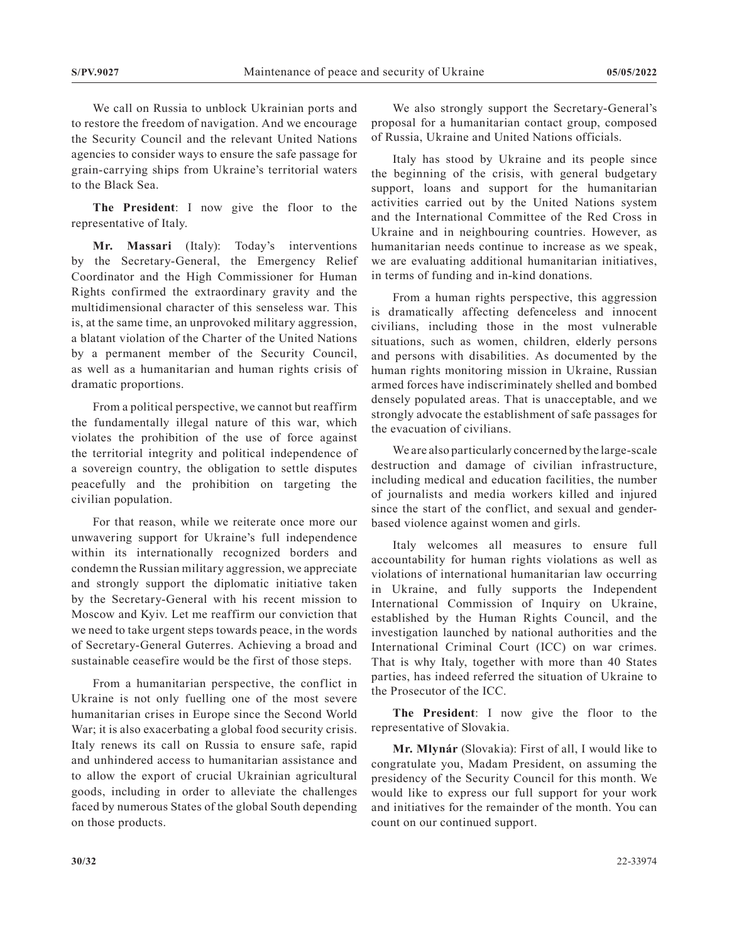We call on Russia to unblock Ukrainian ports and to restore the freedom of navigation. And we encourage the Security Council and the relevant United Nations agencies to consider ways to ensure the safe passage for grain-carrying ships from Ukraine's territorial waters to the Black Sea.

**The President**: I now give the floor to the representative of Italy.

**Mr. Massari** (Italy): Today's interventions by the Secretary-General, the Emergency Relief Coordinator and the High Commissioner for Human Rights confirmed the extraordinary gravity and the multidimensional character of this senseless war. This is, at the same time, an unprovoked military aggression, a blatant violation of the Charter of the United Nations by a permanent member of the Security Council, as well as a humanitarian and human rights crisis of dramatic proportions.

From a political perspective, we cannot but reaffirm the fundamentally illegal nature of this war, which violates the prohibition of the use of force against the territorial integrity and political independence of a sovereign country, the obligation to settle disputes peacefully and the prohibition on targeting the civilian population.

For that reason, while we reiterate once more our unwavering support for Ukraine's full independence within its internationally recognized borders and condemn the Russian military aggression, we appreciate and strongly support the diplomatic initiative taken by the Secretary-General with his recent mission to Moscow and Kyiv. Let me reaffirm our conviction that we need to take urgent steps towards peace, in the words of Secretary-General Guterres. Achieving a broad and sustainable ceasefire would be the first of those steps.

From a humanitarian perspective, the conflict in Ukraine is not only fuelling one of the most severe humanitarian crises in Europe since the Second World War; it is also exacerbating a global food security crisis. Italy renews its call on Russia to ensure safe, rapid and unhindered access to humanitarian assistance and to allow the export of crucial Ukrainian agricultural goods, including in order to alleviate the challenges faced by numerous States of the global South depending on those products.

We also strongly support the Secretary-General's proposal for a humanitarian contact group, composed of Russia, Ukraine and United Nations officials.

Italy has stood by Ukraine and its people since the beginning of the crisis, with general budgetary support, loans and support for the humanitarian activities carried out by the United Nations system and the International Committee of the Red Cross in Ukraine and in neighbouring countries. However, as humanitarian needs continue to increase as we speak, we are evaluating additional humanitarian initiatives, in terms of funding and in-kind donations.

From a human rights perspective, this aggression is dramatically affecting defenceless and innocent civilians, including those in the most vulnerable situations, such as women, children, elderly persons and persons with disabilities. As documented by the human rights monitoring mission in Ukraine, Russian armed forces have indiscriminately shelled and bombed densely populated areas. That is unacceptable, and we strongly advocate the establishment of safe passages for the evacuation of civilians.

We are also particularly concerned by the large-scale destruction and damage of civilian infrastructure, including medical and education facilities, the number of journalists and media workers killed and injured since the start of the conflict, and sexual and genderbased violence against women and girls.

Italy welcomes all measures to ensure full accountability for human rights violations as well as violations of international humanitarian law occurring in Ukraine, and fully supports the Independent International Commission of Inquiry on Ukraine, established by the Human Rights Council, and the investigation launched by national authorities and the International Criminal Court (ICC) on war crimes. That is why Italy, together with more than 40 States parties, has indeed referred the situation of Ukraine to the Prosecutor of the ICC.

**The President**: I now give the floor to the representative of Slovakia.

**Mr. Mlynár** (Slovakia): First of all, I would like to congratulate you, Madam President, on assuming the presidency of the Security Council for this month. We would like to express our full support for your work and initiatives for the remainder of the month. You can count on our continued support.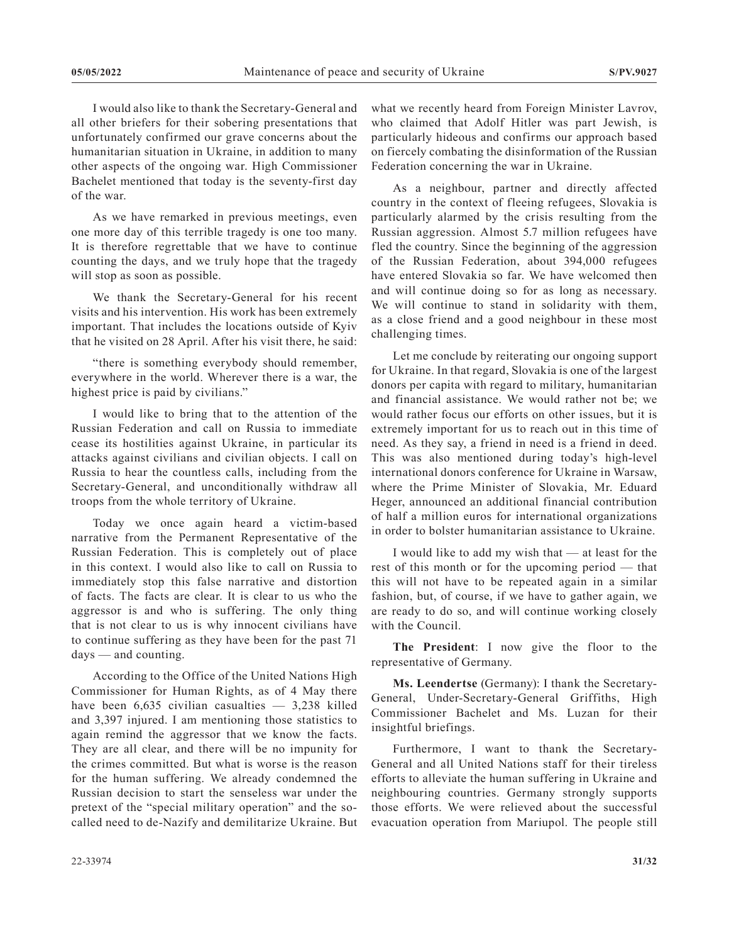I would also like to thank the Secretary-General and all other briefers for their sobering presentations that unfortunately confirmed our grave concerns about the humanitarian situation in Ukraine, in addition to many other aspects of the ongoing war. High Commissioner Bachelet mentioned that today is the seventy-first day of the war.

As we have remarked in previous meetings, even one more day of this terrible tragedy is one too many. It is therefore regrettable that we have to continue counting the days, and we truly hope that the tragedy will stop as soon as possible.

We thank the Secretary-General for his recent visits and his intervention. His work has been extremely important. That includes the locations outside of Kyiv that he visited on 28 April. After his visit there, he said:

"there is something everybody should remember, everywhere in the world. Wherever there is a war, the highest price is paid by civilians."

I would like to bring that to the attention of the Russian Federation and call on Russia to immediate cease its hostilities against Ukraine, in particular its attacks against civilians and civilian objects. I call on Russia to hear the countless calls, including from the Secretary-General, and unconditionally withdraw all troops from the whole territory of Ukraine.

Today we once again heard a victim-based narrative from the Permanent Representative of the Russian Federation. This is completely out of place in this context. I would also like to call on Russia to immediately stop this false narrative and distortion of facts. The facts are clear. It is clear to us who the aggressor is and who is suffering. The only thing that is not clear to us is why innocent civilians have to continue suffering as they have been for the past 71 days — and counting.

According to the Office of the United Nations High Commissioner for Human Rights, as of 4 May there have been  $6,635$  civilian casualties  $-3,238$  killed and 3,397 injured. I am mentioning those statistics to again remind the aggressor that we know the facts. They are all clear, and there will be no impunity for the crimes committed. But what is worse is the reason for the human suffering. We already condemned the Russian decision to start the senseless war under the pretext of the "special military operation" and the socalled need to de-Nazify and demilitarize Ukraine. But

what we recently heard from Foreign Minister Lavrov, who claimed that Adolf Hitler was part Jewish, is particularly hideous and confirms our approach based on fiercely combating the disinformation of the Russian Federation concerning the war in Ukraine.

As a neighbour, partner and directly affected country in the context of fleeing refugees, Slovakia is particularly alarmed by the crisis resulting from the Russian aggression. Almost 5.7 million refugees have fled the country. Since the beginning of the aggression of the Russian Federation, about 394,000 refugees have entered Slovakia so far. We have welcomed then and will continue doing so for as long as necessary. We will continue to stand in solidarity with them, as a close friend and a good neighbour in these most challenging times.

Let me conclude by reiterating our ongoing support for Ukraine. In that regard, Slovakia is one of the largest donors per capita with regard to military, humanitarian and financial assistance. We would rather not be; we would rather focus our efforts on other issues, but it is extremely important for us to reach out in this time of need. As they say, a friend in need is a friend in deed. This was also mentioned during today's high-level international donors conference for Ukraine in Warsaw, where the Prime Minister of Slovakia, Mr. Eduard Heger, announced an additional financial contribution of half a million euros for international organizations in order to bolster humanitarian assistance to Ukraine.

I would like to add my wish that — at least for the rest of this month or for the upcoming period — that this will not have to be repeated again in a similar fashion, but, of course, if we have to gather again, we are ready to do so, and will continue working closely with the Council.

**The President**: I now give the floor to the representative of Germany.

**Ms. Leendertse** (Germany): I thank the Secretary-General, Under-Secretary-General Griffiths, High Commissioner Bachelet and Ms. Luzan for their insightful briefings.

Furthermore, I want to thank the Secretary-General and all United Nations staff for their tireless efforts to alleviate the human suffering in Ukraine and neighbouring countries. Germany strongly supports those efforts. We were relieved about the successful evacuation operation from Mariupol. The people still